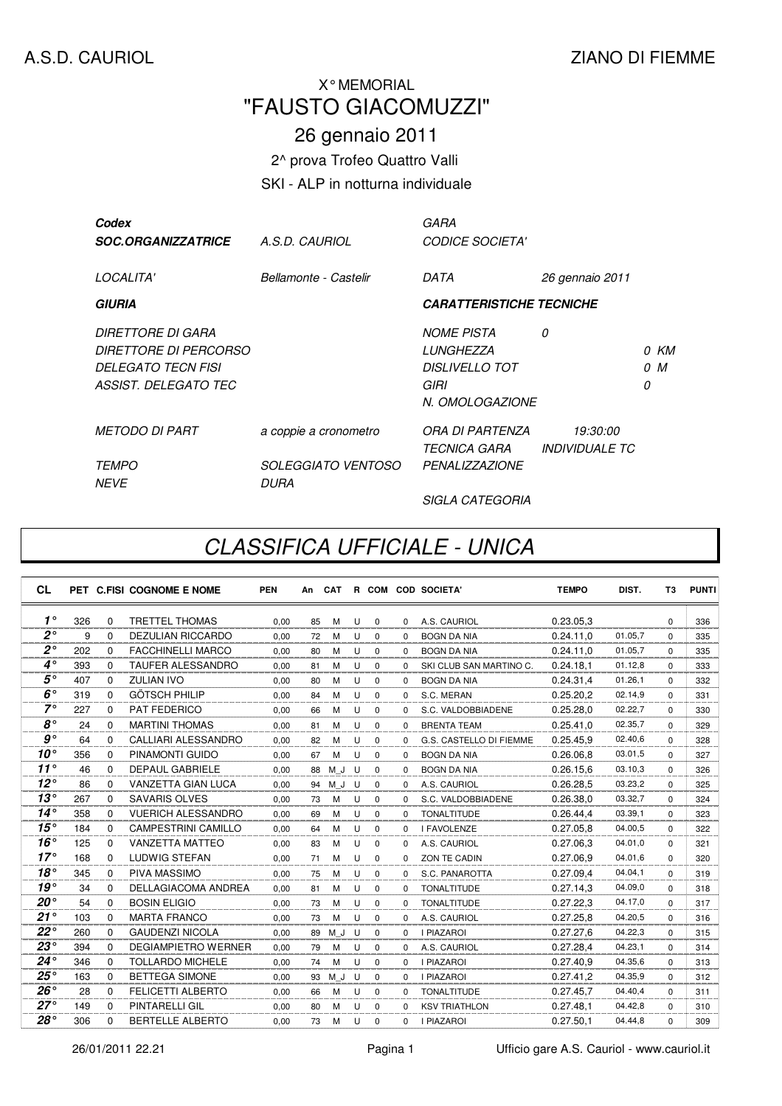## "FAUSTO GIACOMUZZI" X° MEMORIAL

## 26 gennaio 2011

2^ prova Trofeo Quattro Valli

## SKI - ALP in notturna individuale

| Codex<br><b>SOC.ORGANIZZATRICE</b>                                                                     | A.S.D. CAURIOL                    | GARA<br><b>CODICE SOCIETA'</b>                                                            |                                   |   |             |
|--------------------------------------------------------------------------------------------------------|-----------------------------------|-------------------------------------------------------------------------------------------|-----------------------------------|---|-------------|
| <i>LOCALITA'</i>                                                                                       | Bellamonte - Castelir             | DATA                                                                                      | 26 gennaio 2011                   |   |             |
| <b>GIURIA</b>                                                                                          |                                   | <b>CARATTERISTICHE TECNICHE</b>                                                           |                                   |   |             |
| DIRETTORE DI GARA<br><i>DIRETTORE DI PERCORSO</i><br><b>DELEGATO TECN FISI</b><br>ASSIST. DELEGATO TEC |                                   | <b>NOME PISTA</b><br><i>LUNGHEZZA</i><br><b>DISLIVELLO TOT</b><br>GIRI<br>N. OMOLOGAZIONE | 0                                 | 0 | 0 KM<br>0 M |
| <i>METODO DI PART</i>                                                                                  | a coppie a cronometro             | ORA DI PARTENZA<br>TECNICA GARA                                                           | 19:30:00<br><b>INDIVIDUALE TC</b> |   |             |
| <i>TEMPO</i><br><b>NFVF</b>                                                                            | <i>SOLEGGIATO VENTOSO</i><br>DURA | <b>PENALIZZAZIONE</b>                                                                     |                                   |   |             |
|                                                                                                        |                                   | <i>SIGLA CATEGORIA</i>                                                                    |                                   |   |             |

## CLASSIFICA UFFICIALE - UNICA

| <b>CL</b>      |     |             | PET C.FISI COGNOME E NOME  | <b>PEN</b> | An | <b>CAT</b> |   |             |          | R COM COD SOCIETA'      | <b>TEMPO</b> | DIST.    | T <sub>3</sub> | <b>PUNTI</b> |
|----------------|-----|-------------|----------------------------|------------|----|------------|---|-------------|----------|-------------------------|--------------|----------|----------------|--------------|
| $1^{\circ}$    | 326 | $\Omega$    | <b>TRETTEL THOMAS</b>      | 0.00       | 85 | м          | U | $\mathbf 0$ | $\Omega$ | A.S. CAURIOL            | 0.23.05.3    |          | $\Omega$       | 336          |
| $2^{\circ}$    | 9   | $\mathbf 0$ | <b>DEZULIAN RICCARDO</b>   | 0.00       | 72 | м          | U | $\mathbf 0$ | $\Omega$ | <b>BOGN DA NIA</b>      | 0.24.11.0    | 01.05,7  | $\Omega$       | 335          |
| 2۰             | 202 | $\Omega$    | <b>FACCHINELLI MARCO</b>   | 0.00       | 80 | M          | U | $\mathbf 0$ | $\Omega$ | <b>BOGN DA NIA</b>      | 0.24.11.0    | 01.05.7  | $\Omega$       | 335          |
| $4^\circ$      | 393 | $\Omega$    | <b>TAUFER ALESSANDRO</b>   | 0.00       | 81 | M          | U | $\Omega$    | $\Omega$ | SKI CLUB SAN MARTINO C. | 0.24.18.1    | 01.12,8  | $\Omega$       | 333          |
| $5^{\circ}$    | 407 | $\Omega$    | <b>ZULIAN IVO</b>          | 0,00       | 80 | M          | U | $\Omega$    | $\Omega$ | <b>BOGN DA NIA</b>      | 0.24.31.4    | 01.26, 1 | $\Omega$       | 332          |
| $6^\circ$      | 319 | $\Omega$    | <b>GÖTSCH PHILIP</b>       | 0.00       | 84 | м          | U | $\Omega$    | $\Omega$ | S.C. MERAN              | 0.25.20,2    | 02.14,9  | $\Omega$       | 331          |
| $7^\circ$      | 227 | $\Omega$    | <b>PAT FEDERICO</b>        | 0,00       | 66 | М          | U | $\mathbf 0$ | 0        | S.C. VALDOBBIADENE      | 0.25.28,0    | 02.22,7  | $\Omega$       | 330          |
| $8^{\circ}$    | 24  | $\Omega$    | <b>MARTINI THOMAS</b>      | 0.00       | 81 | м          | U | $\mathbf 0$ | $\Omega$ | <b>BRENTA TEAM</b>      | 0.25.41.0    | 02.35,7  | $\Omega$       | 329          |
| g <sup>o</sup> | 64  | $\Omega$    | <b>CALLIARI ALESSANDRO</b> | 0.00       | 82 | M          | U | $\Omega$    | 0        | G.S. CASTELLO DI FIEMME | 0.25.45.9    | 02.40,6  | $\Omega$       | 328          |
| $10^{\circ}$   | 356 | $\Omega$    | PINAMONTI GUIDO            | 0,00       | 67 | M          | U | $\mathbf 0$ | $\Omega$ | <b>BOGN DA NIA</b>      | 0.26.06.8    | 03.01.5  | $\Omega$       | 327          |
| $11^{\circ}$   | 46  | $\Omega$    | <b>DEPAUL GABRIELE</b>     | 0,00       | 88 | M<br>J     | U | $\Omega$    | $\Omega$ | <b>BOGN DA NIA</b>      | 0.26.15,6    | 03.10,3  | $\Omega$       | 326          |
| $12^{\circ}$   | 86  | $\Omega$    | <b>VANZETTA GIAN LUCA</b>  | 0.00       | 94 | M J        | U | $\mathbf 0$ | $\Omega$ | A.S. CAURIOL            | 0.26.28.5    | 03.23,2  | $\Omega$       | 325          |
| $13^\circ$     | 267 | $\Omega$    | <b>SAVARIS OLVES</b>       | 0.00       | 73 | M          | U | $\Omega$    | $\Omega$ | S.C. VALDOBBIADENE      | 0.26.38.0    | 03.32,7  | $\Omega$       | 324          |
| $14^\circ$     | 358 | $\Omega$    | <b>VUERICH ALESSANDRO</b>  | 0.00       | 69 | M          | U | $\Omega$    | $\Omega$ | <b>TONALTITUDE</b>      | 0.26.44,4    | 03.39,1  | $\Omega$       | 323          |
| 15°            | 184 | $\Omega$    | <b>CAMPESTRINI CAMILLO</b> | 0,00       | 64 | M          | U | 0           | $\Omega$ | <b>I FAVOLENZE</b>      | 0.27.05,8    | 04.00,5  | $\Omega$       | 322          |
| $16^\circ$     | 125 | $\Omega$    | <b>VANZETTA MATTEO</b>     | 0,00       | 83 | м          | U | $\mathbf 0$ | $\Omega$ | A.S. CAURIOL            | 0.27.06.3    | 04.01,0  | $\Omega$       | 321          |
| $17^\circ$     | 168 | $\Omega$    | <b>LUDWIG STEFAN</b>       | 0,00       | 71 | м          | U | $\Omega$    | $\Omega$ | ZON TE CADIN            | 0.27.06,9    | 04.01.6  | $\Omega$       | 320          |
| 18°            | 345 | $\Omega$    | <b>PIVA MASSIMO</b>        | 0.00       | 75 | M          | U | $\mathbf 0$ | $\Omega$ | S.C. PANAROTTA          | 0.27.09.4    | 04.04,1  | $\Omega$       | 319          |
| $19^{\circ}$   | 34  | $\Omega$    | <b>DELLAGIACOMA ANDREA</b> | 0.00       | 81 | M          | U | $\mathbf 0$ | $\Omega$ | <b>TONALTITUDE</b>      | 0.27.14.3    | 04.09,0  | $\Omega$       | 318          |
| $20^{\circ}$   | 54  | $\Omega$    | <b>BOSIN ELIGIO</b>        | 0,00       | 73 | М          | U | $\mathbf 0$ | $\Omega$ | <b>TONALTITUDE</b>      | 0.27.22,3    | 04.17.0  | $\Omega$       | 317          |
| 21°            | 103 | $\Omega$    | <b>MARTA FRANCO</b>        | 0,00       | 73 | M          | U | $\Omega$    | $\Omega$ | A.S. CAURIOL            | 0.27.25,8    | 04.20.5  | $\Omega$       | 316          |
| $22^{\circ}$   | 260 | $\Omega$    | <b>GAUDENZI NICOLA</b>     | 0,00       | 89 | M J        | U | $\mathbf 0$ | $\Omega$ | <b>I PIAZAROI</b>       | 0.27.27.6    | 04.22,3  | $\Omega$       | 315          |
| $23^{\circ}$   | 394 | $\Omega$    | <b>DEGIAMPIETRO WERNER</b> | 0.00       | 79 | M          | U | $\mathbf 0$ | $\Omega$ | A.S. CAURIOL            | 0.27.28.4    | 04.23,1  | $\Omega$       | 314          |
| $24^{\circ}$   | 346 | $\Omega$    | <b>TOLLARDO MICHELE</b>    | 0.00       | 74 | M          | U | $\mathbf 0$ | $\Omega$ | <b>I PIAZAROI</b>       | 0.27.40.9    | 04.35,6  | $\Omega$       | 313          |
| $25^{\circ}$   | 163 | $\Omega$    | <b>BETTEGA SIMONE</b>      | 0.00       | 93 | M J        | U | $\mathbf 0$ | $\Omega$ | <b>I PIAZAROI</b>       | 0.27.41,2    | 04.35.9  | $\Omega$       | 312          |
| $26^{\circ}$   | 28  | $\Omega$    | <b>FELICETTI ALBERTO</b>   | 0,00       | 66 | M          | U | $\mathbf 0$ | $\Omega$ | <b>TONALTITUDE</b>      | 0.27.45,7    | 04.40.4  | $\Omega$       | 311          |
| $27^\circ$     | 149 | $\Omega$    | <b>PINTARELLI GIL</b>      | 0,00       | 80 | м          | U | $\mathbf 0$ | $\Omega$ | <b>KSV TRIATHLON</b>    | 0.27.48,1    | 04.42,8  | $\Omega$       | 310          |
| $28^{\circ}$   | 306 | $\Omega$    | <b>BERTELLE ALBERTO</b>    | 0.00       | 73 | M          | U | $\Omega$    | $\Omega$ | <b>I PIAZAROI</b>       | 0.27.50.1    | 04.44,8  | $\Omega$       | 309          |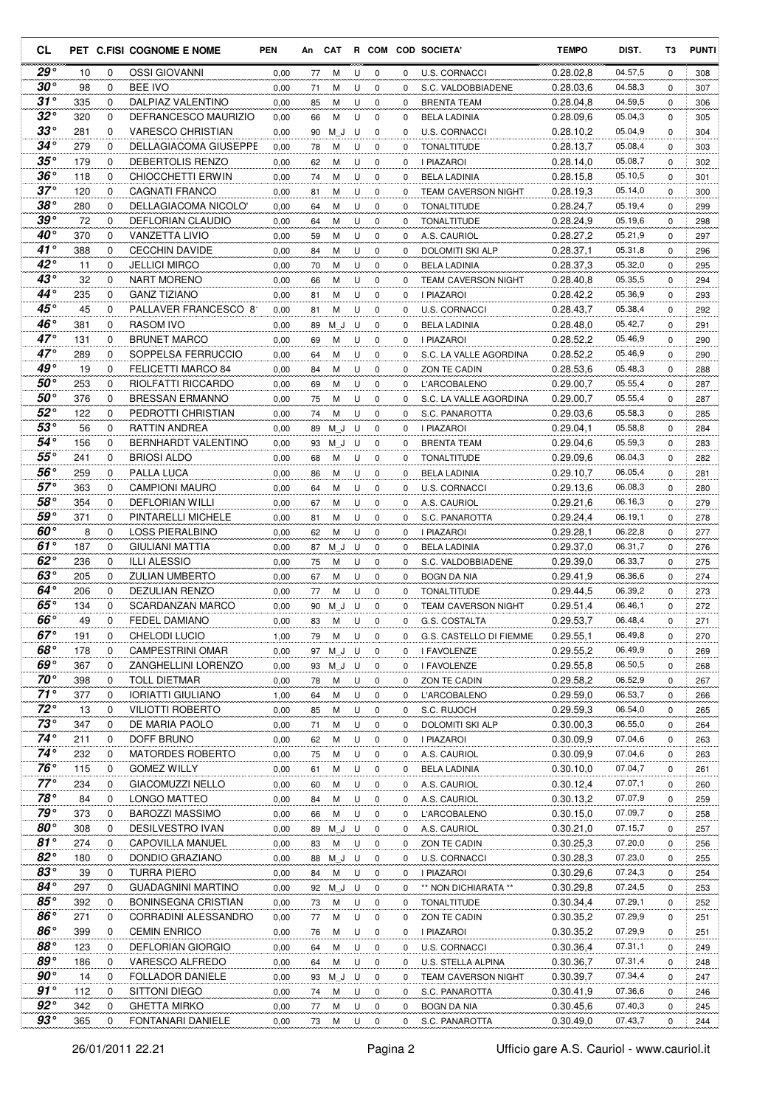| CL                  |           |               | PET C.FISI COGNOME E NOME                | <b>PEN</b>   |          |               |        |                         |             | An CAT R COM COD SOCIETA'                | <b>TEMPO</b>           | DIST.              | T3            | <b>PUNTI</b> |
|---------------------|-----------|---------------|------------------------------------------|--------------|----------|---------------|--------|-------------------------|-------------|------------------------------------------|------------------------|--------------------|---------------|--------------|
| $29^{\circ}$        | 10        | 0             | <b>OSSI GIOVANNI</b>                     | 0,00         | 77       | М             | U      | 0                       | 0           | <b>U.S. CORNACCI</b>                     | 0.28.02,8              | 04.57,5            | 0             | 308          |
| $30^{\circ}$        | 98        | 0             | <b>BEE IVO</b>                           | 0,00         | 71       | М             | U      | 0                       | 0           | S.C. VALDOBBIADENE                       | 0.28.03.6              | 04.58,3            | 0             | 307          |
| $31^\circ$          | 335       | 0             | DALPIAZ VALENTINO                        | 0,00         | 85       | М             | U      | $\mathbf 0$             | 0           | <b>BRENTA TEAM</b>                       | 0.28.04,8              | 04.59,5            | 0             | 306          |
| $32^{\circ}$        | 320       | 0             | DEFRANCESCO MAURIZIO                     | 0,00         | 66       | M             | U      | $\mathbf 0$             | 0           | <b>BELA LADINIA</b>                      | 0.28.09,6              | 05.04,3            | 0             | 305          |
| $33^{\circ}$        | 281       | 0             | <b>VARESCO CHRISTIAN</b>                 | 0,00         | 90       | M J           | U      | $\mathbf 0$             | 0           | U.S. CORNACCI                            | 0.28.10,2              | 05.04,9            | 0             | 304          |
| $34^{\circ}$        | 279       | 0             | DELLAGIACOMA GIUSEPPE                    | 0,00         | 78       | M             | U      | $\mathbf 0$             | 0           | TONALTITUDE                              | 0.28.13,7              | 05.08,4            | 0             | 303          |
| $35^{\circ}$        | 179       | 0             | DEBERTOLIS RENZO                         | 0,00         | 62       | M             | U      | $\mathbf 0$             | 0           | I PIAZAROI                               | 0.28.14,0              | 05.08,7            | 0             | 302          |
| $36^{\circ}$        | 118       | 0             | CHIOCCHETTI ERWIN                        | 0,00         | 74       | M             | U      | 0                       | 0           | <b>BELA LADINIA</b>                      | 0.28.15,8              | 05.10,5            | 0             | 301          |
| $37^{\circ}$        | 120       | $\mathbf 0$   | <b>CAGNATI FRANCO</b>                    | 0,00         | 81       | М             | U      | 0                       | 0           | <b>TEAM CAVERSON NIGHT</b>               | 0.28.19,3              | 05.14,0            | $\mathbf 0$   | 300          |
| $38^{\circ}$        | 280       | 0             | DELLAGIACOMA NICOLO'                     | 0,00         | 64       | М             | U      | 0                       | 0           | <b>TONALTITUDE</b>                       | 0.28.24,7              | 05.19,4            | 0             | 299          |
| 39°                 | 72        | 0             | DEFLORIAN CLAUDIO                        | 0,00         | 64       | М             | U      | 0                       | 0           | <b>TONALTITUDE</b>                       | 0.28.24,9              | 05.19,6            | 0             | 298          |
| $40^{\circ}$        | 370       | 0             | VANZETTA LIVIO                           | 0,00         | 59       | M             | U      | 0                       | 0           | A.S. CAURIOL                             | 0.28.27,2              | 05.21,9            | 0             | 297          |
| 41 $^{\circ}$       | 388       | $\mathbf 0$   | <b>CECCHIN DAVIDE</b>                    | 0,00         | 84       | M             | U      | 0                       | 0           | DOLOMITI SKI ALP                         | 0.28.37,1              | 05.31,8            | 0             | 296          |
| $42^{\circ}$        | 11        | $\mathbf 0$   | <b>JELLICI MIRCO</b>                     | 0,00         | 70       | М             | U      | $\mathbf 0$             | 0           | <b>BELA LADINIA</b>                      | 0.28.37,3              | 05.32,0            | 0             | 295          |
| $43^{\circ}$        | 32        | 0             | NART MORENO                              | 0,00         | 66       | М             | U      | 0                       | 0           | <b>TEAM CAVERSON NIGHT</b>               | 0.28.40,8              | 05.35,5            | 0             | 294          |
| $44^{\circ}$        | 235       | 0             | <b>GANZ TIZIANO</b>                      | 0,00         | 81       | M             | U      | $\mathbf 0$             | 0           | I PIAZAROI                               | 0.28.42,2              | 05.36,9            | $\mathbf 0$   | 293          |
| 45°                 | 45        | $\mathbf 0$   | PALLAVER FRANCESCO 81                    | 0,00         | 81       | М             | U      | $\mathbf 0$             | 0           | U.S. CORNACCI                            | 0.28.43,7              | 05.38,4            | 0             | 292          |
| 46°                 | 381       | $\mathbf 0$   | <b>RASOM IVO</b>                         | 0,00         | 89       | M J           | U      | $\mathbf 0$             | 0           | <b>BELA LADINIA</b>                      | 0.28.48,0              | 05.42,7            | $\mathbf 0$   | 291          |
| $47^\circ$          | 131       | 0             | <b>BRUNET MARCO</b>                      | 0,00         | 69       | М             | U      | 0                       | 0           | <b>I PIAZAROI</b>                        | 0.28.52,2              | 05.46,9            | 0             | 290          |
| $47^\circ$          | 289       | 0             | SOPPELSA FERRUCCIO                       | 0,00         | 64       | М             | U      | $\mathbf 0$             | 0           | S.C. LA VALLE AGORDINA                   | 0.28.52,2              | 05.46,9            | $\mathbf 0$   | 290          |
| 49°                 | 19        | 0             | FELICETTI MARCO 84                       | 0,00         | 84       | M             | U      | 0                       | 0           | ZON TE CADIN                             | 0.28.53,6              | 05.48,3            | 0             | 288          |
| $50^{\circ}$        | 253       | $\mathbf 0$   | RIOLFATTI RICCARDO                       | 0,00         | 69       | M             | U      | $\mathbf 0$             | 0           | <b>L'ARCOBALENO</b>                      | 0.29.00,7              | 05.55,4            | 0             | 287          |
| $50^{\circ}$        | 376       | 0             | <b>BRESSAN ERMANNO</b>                   | 0,00         | 75       | M             | U      | $\mathbf 0$             | 0           | S.C. LA VALLE AGORDINA                   | 0.29.00,7              | 05.55,4            | 0             | 287          |
| $52^{\circ}$        | 122       | 0             | PEDROTTI CHRISTIAN                       | 0,00         | 74       | M             | U      | $\mathbf 0$             | 0           | S.C. PANAROTTA                           | 0.29.03,6              | 05.58,3            | 0             | 285          |
| $53^\circ$          | 56        | 0             | RATTIN ANDREA                            | 0,00         | 89       | M J           | U      | 0                       | 0           | I PIAZAROI                               | 0.29.04,1              | 05.58,8            | 0             | 284          |
| 54°                 | 156       | $\mathbf 0$   | <b>BERNHARDT VALENTINO</b>               | 0,00         | 93       | M J           | U      | $\mathbf 0$             | 0           | BRENTA TEAM                              | 0.29.04,6              | 05.59,3            | $\mathbf 0$   | 283          |
| 55°                 | 241       | 0             | <b>BRIOSI ALDO</b>                       | 0,00         | 68       | М             | U      | 0                       | 0           | TONALTITUDE                              | 0.29.09,6              | 06.04,3            | 0             | 282          |
| 56°                 | 259       | 0             | PALLA LUCA                               | 0,00         | 86       | М             | U      | 0                       | 0           | <b>BELA LADINIA</b>                      | 0.29.10,7              | 06.05,4            | 0             | 281          |
| $57^\circ$          | 363       | 0             | <b>CAMPIONI MAURO</b>                    | 0,00         | 64       | M             | U      | 0                       | 0           | U.S. CORNACCI                            | 0.29.13,6              | 06.08,3            | 0             | 280          |
| $58^{\circ}$        | 354       | 0             | <b>DEFLORIAN WILLI</b>                   | 0,00         | 67       | M             | U      | 0                       | 0           | A.S. CAURIOL                             | 0.29.21,6              | 06.16,3            | 0             | 279          |
| $59^{\circ}$        | 371       | 0             | PINTARELLI MICHELE                       | 0,00         | 81       | M             | U      | $\mathbf 0$             | 0           | S.C. PANAROTTA                           | 0.29.24,4              | 06.19,1            | 0             | 278          |
| $60^{\circ}$        | 8         | $\mathbf 0$   | <b>LOSS PIERALBINO</b>                   | 0,00         | 62       | M             | U      | $\mathbf 0$             | 0           | I PIAZAROI                               | 0.29.28,1              | 06.22,8            | 0             | 277          |
| $61^\circ$          | 187       | 0             | <b>GIULIANI MATTIA</b>                   | 0,00         | 87       | M J           | U      | $\mathbf 0$             | 0           | <b>BELA LADINIA</b>                      | 0.29.37,0              | 06.31,7            | 0             | 276          |
| 62 $^{\circ}$       | 236       | $\mathbf 0$   | <b>ILLI ALESSIO</b>                      | 0,00         | 75       | М             | U      | 0                       | 0           | S.C. VALDOBBIADENE                       | 0.29.39,0              | 06.33,7            | 0             | 275          |
| $63^\circ$          | 205       | 0             | <b>ZULIAN UMBERTO</b>                    | 0,00         | 67       | М             | U      | 0                       | 0           | <b>BOGN DA NIA</b>                       | 0.29.41,9              | 06.36,6            | $\mathbf 0$   | 274          |
| 64°<br>$65^{\circ}$ | 206       | 0             | DEZULIAN RENZO                           | 0,00         | 77       | М             | U      | 0                       | 0           | <b>TONALTITUDE</b>                       | 0.29.44,5              | 06.39,2            | 0             | 273          |
| $66^\circ$          | 134<br>49 | 0<br>$\Omega$ | SCARDANZAN MARCO<br><b>FEDEL DAMIANO</b> | 0,00         | 90       | M J           | U<br>U | $\mathbf 0$<br>$\Omega$ | 0           | <b>TEAM CAVERSON NIGHT</b>               | 0.29.51,4              | 06.46,1<br>06.48,4 | 0<br>$\Omega$ | 272          |
| $67^\circ$          | 191       | 0             | CHELODI LUCIO                            | 0,00         | 83       | M             |        |                         | 0           | G.S. COSTALTA<br>G.S. CASTELLO DI FIEMME | 0.29.53,7<br>0.29.55,1 | 06.49,8            |               | 271          |
| $68^\circ$          | 178       | 0             | <b>CAMPESTRINI OMAR</b>                  | 1,00<br>0,00 | 79       | M<br>97 M J U | U      | 0<br>0                  | 0<br>0      |                                          | 0.29.55,2              | 06.49,9            | 0             | 270<br>269   |
| 69°                 | 367       | 0             | ZANGHELLINI LORENZO                      | 0,00         |          | 93 M J U      |        | $\mathbf 0$             | 0           | I FAVOLENZE<br>I FAVOLENZE               | 0.29.55,8              | 06.50,5            | 0<br>0        | 268          |
| $70^{\circ}$        | 398       | 0             | <b>TOLL DIETMAR</b>                      |              |          |               | U      | $\mathbf 0$             | 0           | ZON TE CADIN                             | 0.29.58,2              | 06.52,9            | 0             |              |
| $71^\circ$          | 377       | 0             | <b>IORIATTI GIULIANO</b>                 | 0,00<br>1,00 | 78<br>64 | М<br>М        | U      | $\mathbf 0$             | 0           | L'ARCOBALENO                             | 0.29.59,0              | 06.53,7            | 0             | 267<br>266   |
| $72^{\circ}$        | 13        | 0             | <b>VILIOTTI ROBERTO</b>                  |              |          |               |        |                         | 0           |                                          | 0.29.59.3              | 06.54,0            | 0             | 265          |
| $73^{\circ}$        | 347       | 0             | DE MARIA PAOLO                           | 0,00<br>0,00 | 85<br>71 | М<br>М        | U<br>U | 0<br>0                  | 0           | S.C. RUJOCH<br><b>DOLOMITI SKI ALP</b>   | 0.30.00,3              | 06.55,0            | 0             | 264          |
| $74^{\circ}$        | 211       | 0             | DOFF BRUNO                               | 0,00         | 62       | М             | U      | 0                       | 0           | I PIAZAROI                               | 0.30.09.9              | 07.04,6            | 0             | 263          |
| $74^{\circ}$        | 232       | $\mathbf 0$   | <b>MATORDES ROBERTO</b>                  | 0,00         | 75       | М             | U      | 0                       | 0           | A.S. CAURIOL                             | 0.30.09,9              | 07.04,6            | 0             | 263          |
| $76^{\circ}$        | 115       | 0             | <b>GOMEZ WILLY</b>                       | 0,00         | 61       | M             | U      | 0                       | 0           | <b>BELA LADINIA</b>                      | 0.30.10,0              | 07.04,7            | 0             | 261          |
| $77^\circ$          | 234       | 0             | <b>GIACOMUZZI NELLO</b>                  | 0,00         | 60       | М             | U      | 0                       | 0           | A.S. CAURIOL                             | 0.30.12,4              | 07.07,1            | 0             | 260          |
| $78^\circ$          | 84        | 0             | LONGO MATTEO                             | 0,00         | 84       | М             | U      | 0                       | 0           | A.S. CAURIOL                             | 0.30.13,2              | 07.07,9            | 0             | 259          |
| 79°                 | 373       | 0             | <b>BAROZZI MASSIMO</b>                   | 0,00         | 66       | М             | U      | 0                       | 0           | L'ARCOBALENO                             | 0.30.15,0              | 07.09,7            | 0             | 258          |
| $80^{\circ}$        | 308       | 0             | DESILVESTRO IVAN                         | 0,00         |          | 89 M_J        | U      | 0                       | 0           | A.S. CAURIOL                             | 0.30.21,0              | 07.15,7            | 0             | 257          |
| 81 $^{\circ}$       | 274       | 0             | CAPOVILLA MANUEL                         | 0,00         | 83       | М             | U      | 0                       | 0           | ZON TE CADIN                             | 0.30.25,3              | 07.20,0            | 0             | 256          |
| $82^{\circ}$        | 180       | 0             | DONDIO GRAZIANO                          | 0,00         |          | 88 M_J        | U      | 0                       | 0           | U.S. CORNACCI                            | 0.30.28,3              | 07.23,0            | 0             | 255          |
| $83^{\circ}$        | 39        | 0             | TURRA PIERO                              | 0,00         | 84       | М             | U      | 0                       | 0           | I PIAZAROI                               | 0.30.29,6              | 07.24,3            | 0             | 254          |
| $84^{\circ}$        | 297       | 0             | <b>GUADAGNINI MARTINO</b>                | 0,00         |          | 92 M J        | U      | 0                       | 0           | ** NON DICHIARATA **                     | 0.30.29,8              | 07.24,5            | 0             | 253          |
| $85^{\circ}$        | 392       | 0             | <b>BONINSEGNA CRISTIAN</b>               | 0,00         | 73       | м             | U      | 0                       | 0           | <b>TONALTITUDE</b>                       | 0.30.34,4              | 07.29,1            | 0             | 252          |
| $86^{\circ}$        | 271       | 0             | CORRADINI ALESSANDRO                     | 0,00         | 77       | М             | U      | $\mathbf 0$             | $\mathbf 0$ | ZON TE CADIN                             | 0.30.35,2              | 07.29,9            | 0             | 251          |
| $86^{\circ}$        | 399       | 0             | <b>CEMIN ENRICO</b>                      | 0,00         | 76       | М             | U      | $\mathbf 0$             | 0           | I PIAZAROI                               | 0.30.35,2              | 07.29,9            | 0             | 251          |
| 88°                 | 123       | 0             | <b>DEFLORIAN GIORGIO</b>                 | 0,00         | 64       | М             | U      | $\mathbf 0$             | 0           | U.S. CORNACCI                            | 0.30.36,4              | 07.31,1            | 0             | 249          |
| 89°                 | 186       | 0             | VARESCO ALFREDO                          | 0,00         | 64       | М             | U      | 0                       | 0           | U.S. STELLA ALPINA                       | 0.30.36,7              | 07.31,4            | 0             | 248          |
| $90^\circ$          | 14        | 0             | <b>FOLLADOR DANIELE</b>                  | 0,00         | 93       | ΜJ            | U      | 0                       | 0           | TEAM CAVERSON NIGHT                      | 0.30.39,7              | 07.34,4            | 0             | 247          |
| $91^{\circ}$        | 112       | 0             | SITTONI DIEGO                            | 0,00         | 74       | М             | U      | 0                       | 0           | S.C. PANAROTTA                           | 0.30.41,9              | 07.36,6            | 0             | 246          |
| $92^{\circ}$        | 342       | 0             | <b>GHETTA MIRKO</b>                      | 0,00         | 77       | М             | U      | 0                       | 0           | bogn da nia                              | 0.30.45,6              | 07.40,3            | 0             | 245          |
| $93^{\circ}$        | 365       | 0             | FONTANARI DANIELE                        | 0,00         | 73       | М             | U      | 0                       | 0           | S.C. PANAROTTA                           | 0.30.49,0              | 07.43,7            | 0             | 244          |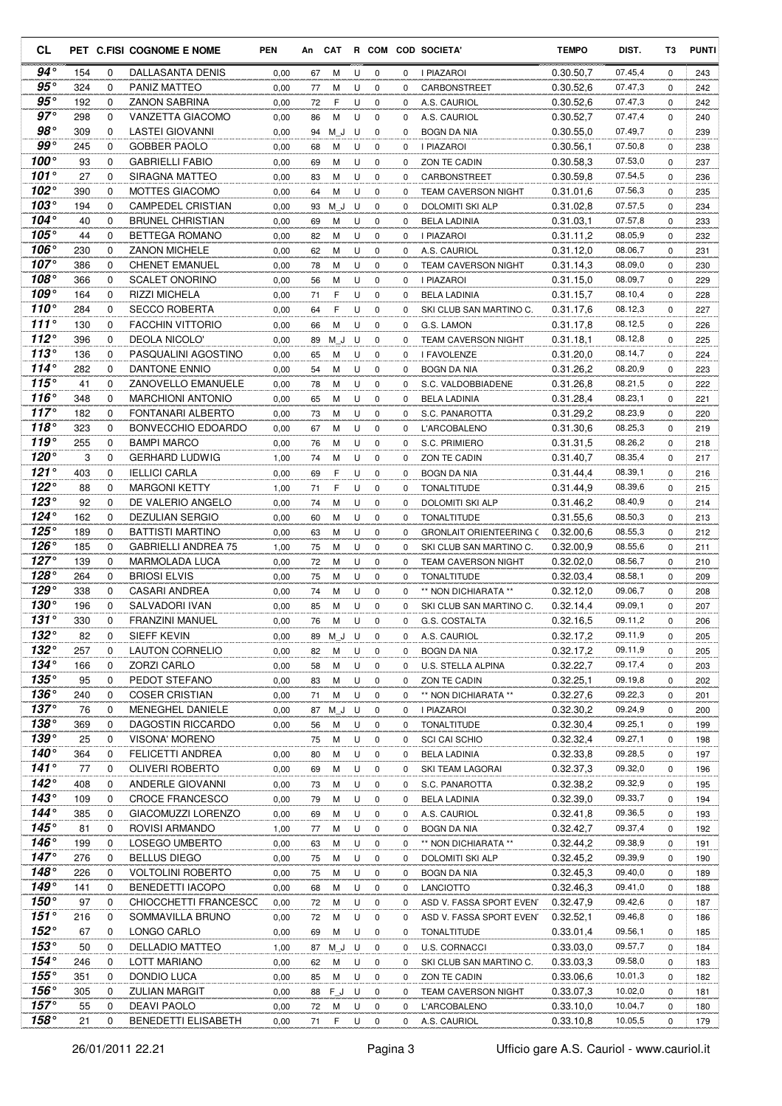| CL                          |            |                  | PET C.FISI COGNOME E NOME                             | <b>PEN</b>   | An       | <b>CAT</b> |        |                  |          | R COM COD SOCIETA'                         | <b>TEMPO</b>           | DIST.              | T3            | <b>PUNTI</b> |
|-----------------------------|------------|------------------|-------------------------------------------------------|--------------|----------|------------|--------|------------------|----------|--------------------------------------------|------------------------|--------------------|---------------|--------------|
| 94 $^{\circ}$               | 154        | 0                | DALLASANTA DENIS                                      | 0,00         | 67       | M          | U      | 0                | 0        | I PIAZAROI                                 | 0.30.50,7              | 07.45,4            | 0             | 243          |
| $95^{\circ}$                | 324        | 0                | PANIZ MATTEO                                          | 0,00         | 77       | M          | U      | $\mathbf 0$      | 0        | CARBONSTREET                               | 0.30.52,6              | 07.47,3            | 0             | 242          |
| $95^{\circ}$                | 192        | 0                | <b>ZANON SABRINA</b>                                  | 0,00         | 72       | F          | U      | 0                | 0        | A.S. CAURIOL                               | 0.30.52,6              | 07.47,3            | 0             | 242          |
| $97^\circ$                  | 298        | $\Omega$         | <b>VANZETTA GIACOMO</b>                               | 0,00         | 86       | M          | U      | $\mathbf 0$      | 0        | A.S. CAURIOL                               | 0.30.52.7              | 07.47,4            | 0             | 240          |
| $98^{\circ}$                | 309        | $\Omega$         | <b>LASTEI GIOVANNI</b>                                | 0,00         | 94       | M J        | U      | 0                | 0        | <b>BOGN DA NIA</b>                         | 0.30.55,0              | 07.49,7            | 0             | 239          |
| $99^{\circ}$<br>$100^\circ$ | 245        | $\mathbf 0$      | <b>GOBBER PAOLO</b>                                   | 0,00         | 68       | М          | U      | $\mathbf 0$      | 0        | I PIAZAROI                                 | 0.30.56.1              | 07.50,8            | 0             | 238          |
| 101 $^{\circ}$              | 93<br>27   | 0<br>0           | <b>GABRIELLI FABIO</b><br>SIRAGNA MATTEO              | 0,00         | 69       | M          | U      | 0                | 0        | ZON TE CADIN                               | 0.30.58,3              | 07.53,0<br>07.54.5 | 0             | 237          |
| 102 $^{\circ}$              | 390        | 0                | <b>MOTTES GIACOMO</b>                                 | 0,00<br>0,00 | 83<br>64 | М<br>M     | U<br>U | 0<br>$\mathbf 0$ | 0<br>0   | CARBONSTREET<br><b>TEAM CAVERSON NIGHT</b> | 0.30.59,8<br>0.31.01,6 | 07.56,3            | 0<br>0        | 236<br>235   |
| 103°                        | 194        | 0                | <b>CAMPEDEL CRISTIAN</b>                              | 0,00         | 93       | M J        | U      | 0                | $\Omega$ | DOLOMITI SKI ALP                           | 0.31.02,8              | 07.57,5            | 0             | 234          |
| $104^\circ$                 | 40         | 0                | <b>BRUNEL CHRISTIAN</b>                               | 0,00         | 69       | М          | U      | 0                | 0        | <b>BELA LADINIA</b>                        | 0.31.03,1              | 07.57,8            | 0             | 233          |
| $105^\circ$                 | 44         | 0                | BETTEGA ROMANO                                        | 0,00         | 82       | М          | U      | 0                | 0        | I PIAZAROI                                 | 0.31.11,2              | 08.05,9            | 0             | 232          |
| 106°                        | 230        | 0                | <b>ZANON MICHELE</b>                                  | 0,00         | 62       | М          | U      | $\mathbf 0$      | 0        | A.S. CAURIOL                               | 0.31.12,0              | 08.06,7            | 0             | 231          |
| $107^\circ$                 | 386        | $\mathbf 0$      | <b>CHENET EMANUEL</b>                                 | 0,00         | 78       | М          | U      | 0                | $\Omega$ | <b>TEAM CAVERSON NIGHT</b>                 | 0.31.14,3              | 08.09,0            | 0             | 230          |
| $108^\circ$                 | 366        | 0                | <b>SCALET ONORINO</b>                                 | 0,00         | 56       | M          | U      | 0                | 0        | <b>I PIAZAROI</b>                          | 0.31.15,0              | 08.09,7            | 0             | 229          |
| 109°                        | 164        | 0                | <b>RIZZI MICHELA</b>                                  | 0,00         | 71       | F          | U      | 0                | 0        | <b>BELA LADINIA</b>                        | 0.31.15,7              | 08.10,4            | 0             | 228          |
| $110^{\circ}$               | 284        | 0                | <b>SECCO ROBERTA</b>                                  | 0,00         | 64       | F          | U      | $\mathbf 0$      | 0        | SKI CLUB SAN MARTINO C.                    | 0.31.17,6              | 08.12,3            | $\mathbf 0$   | 227          |
| 111 $^{\circ}$              | 130        | 0                | <b>FACCHIN VITTORIO</b>                               | 0,00         | 66       | M          | U      | 0                | 0        | G.S. LAMON                                 | 0.31.17,8              | 08.12,5            | 0             | 226          |
| 112°                        | 396        | 0                | <b>DEOLA NICOLO'</b>                                  | 0,00         | 89       | M J        | U      | 0                | 0        | <b>TEAM CAVERSON NIGHT</b>                 | 0.31.18,1              | 08.12,8            | 0             | 225          |
| $113^\circ$                 | 136        | 0                | PASQUALINI AGOSTINO                                   | 0,00         | 65       | М          | U      | $\mathbf 0$      | 0        | I FAVOLENZE                                | 0.31.20,0              | 08.14,7            | 0             | 224          |
| $114^\circ$                 | 282        | $\mathbf 0$      | DANTONE ENNIO                                         | 0,00         | 54       | M          | U      | $\mathbf 0$      | 0        | BOGN DA NIA                                | 0.31.26,2              | 08.20,9            | 0             | 223          |
| 115°<br>$116^\circ$         | 41<br>348  | 0<br>$\mathbf 0$ | <b>ZANOVELLO EMANUELE</b><br><b>MARCHIONI ANTONIO</b> | 0,00         | 78       | М          | U      | 0<br>$\mathbf 0$ | 0        | S.C. VALDOBBIADENE                         | 0.31.26,8<br>0.31.28.4 | 08.21,5<br>08.23,1 | 0             | 222          |
| $117^\circ$                 | 182        | 0                | <b>FONTANARI ALBERTO</b>                              | 0,00<br>0,00 | 65<br>73 | М<br>М     | U<br>U | 0                | 0<br>0   | <b>BELA LADINIA</b><br>S.C. PANAROTTA      | 0.31.29,2              | 08.23,9            | 0<br>0        | 221<br>220   |
| 118 $^{\circ}$              | 323        | 0                | BONVECCHIO EDOARDO                                    | 0,00         | 67       | M          | U      | $\mathbf 0$      | 0        | L'ARCOBALENO                               | 0.31.30,6              | 08.25,3            | 0             | 219          |
| 119 $^{\circ}$              | 255        | 0                | <b>BAMPI MARCO</b>                                    | 0,00         | 76       | M          | U      | $\mathbf 0$      | 0        | S.C. PRIMIERO                              | 0.31.31,5              | 08.26,2            | 0             | 218          |
| $120^\circ$                 | 3          | 0                | <b>GERHARD LUDWIG</b>                                 | 1,00         | 74       | M          | U      | $\mathbf 0$      | 0        | ZON TE CADIN                               | 0.31.40,7              | 08.35,4            | 0             | 217          |
| 121°                        | 403        | 0                | <b>IELLICI CARLA</b>                                  | 0,00         | 69       | F          | U      | 0                | 0        | BOGN DA NIA                                | 0.31.44,4              | 08.39,1            | 0             | 216          |
| $122^\circ$                 | 88         | 0                | <b>MARGONI KETTY</b>                                  | 1,00         | 71       | F          | U      | 0                | 0        | <b>TONALTITUDE</b>                         | 0.31.44,9              | 08.39,6            | 0             | 215          |
| $123^\circ$                 | 92         | 0                | DE VALERIO ANGELO                                     | 0,00         | 74       | M          | U      | $\mathbf 0$      | 0        | DOLOMITI SKI ALP                           | 0.31.46,2              | 08.40,9            | 0             | 214          |
| 124 $^{\circ}$              | 162        | 0                | <b>DEZULIAN SERGIO</b>                                | 0,00         | 60       | М          | U      | $\mathbf 0$      | $\Omega$ | <b>TONALTITUDE</b>                         | 0.31.55,6              | 08.50,3            | 0             | 213          |
| $125^\circ$                 | 189        | $\mathbf 0$      | <b>BATTISTI MARTINO</b>                               | 0,00         | 63       | M          | U      | 0                | 0        | <b>GRONLAIT ORIENTEERING C</b>             | 0.32.00.6              | 08.55,3            | 0             | 212          |
| 126°                        | 185        | 0                | <b>GABRIELLI ANDREA 75</b>                            | 1,00         | 75       | М          | U      | 0                | 0        | SKI CLUB SAN MARTINO C.                    | 0.32.00,9              | 08.55,6            | 0             | 211          |
| $127^\circ$                 | 139        | 0                | <b>MARMOLADA LUCA</b>                                 | 0,00         | 72       | M          | U      | $\mathbf 0$      | 0        | <b>TEAM CAVERSON NIGHT</b>                 | 0.32.02.0              | 08.56,7            | 0             | 210          |
| $128^\circ$                 | 264        | 0                | <b>BRIOSI ELVIS</b>                                   | 0,00         | 75       | M          | U      | $\mathbf 0$      | 0        | <b>TONALTITUDE</b>                         | 0.32.03,4              | 08.58,1            | 0             | 209          |
| $129^\circ$<br>$130^\circ$  | 338        | 0<br>0           | <b>CASARI ANDREA</b>                                  | 0,00         | 74       | М          | U      | 0                | 0        | ** NON DICHIARATA **                       | 0.32.12,0              | 09.06,7<br>09.09,1 | 0             | 208          |
| 131°                        | 196<br>330 | $\Omega$         | SALVADORI IVAN<br><b>FRANZINI MANUEL</b>              | 0,00<br>0,00 | 85<br>76 | M<br>M     | U<br>U | 0<br>$\mathbf 0$ | 0<br>0   | SKI CLUB SAN MARTINO C.<br>G.S. COSTALTA   | 0.32.14,4<br>0.32.16.5 | 09.11,2            | 0<br>$\Omega$ | 207<br>206   |
| $132^\circ$                 | 82         | 0                | SIEFF KEVIN                                           | 0,00         | 89       | M_J U      |        | 0                | 0        | A.S. CAURIOL                               | 0.32.17,2              | 09.11,9            | 0             | 205          |
| $132^\circ$                 | 257        | 0                | <b>LAUTON CORNELIO</b>                                | 0,00         | 82       | M          | U      | 0                | 0        | <b>BOGN DA NIA</b>                         | 0.32.17,2              | 09.11,9            | 0             | 205          |
| $134^\circ$                 | 166        | 0                | ZORZI CARLO                                           | 0,00         | 58       | M          | U      | 0                | 0        | U.S. STELLA ALPINA                         | 0.32.22,7              | 09.17,4            | 0             | 203          |
| $135^\circ$                 | 95         | 0                | PEDOT STEFANO                                         | 0,00         | 83       | M          | U      | 0                | 0        | ZON TE CADIN                               | 0.32.25,1              | 09.19,8            | 0             | 202          |
| $136^\circ$                 | 240        | 0                | <b>COSER CRISTIAN</b>                                 | 0,00         | 71       | M          | U      | 0                | 0        | ** NON DICHIARATA **                       | 0.32.27,6              | 09.22,3            | 0             | 201          |
| $137^\circ$                 | 76         | 0                | MENEGHEL DANIELE                                      | 0,00         | 87       | M J        | U      | 0                | 0        | I PIAZAROI                                 | 0.32.30,2              | 09.24,9            | 0             | 200          |
| $138^\circ$                 | 369        | 0                | DAGOSTIN RICCARDO                                     | 0,00         | 56       | M          | U      | 0                | 0        | TONALTITUDE                                | 0.32.30,4              | 09.25,1            | 0             | 199          |
| $139^\circ$                 | 25         | 0                | <b>VISONA' MORENO</b>                                 |              | 75       | M          | U      | 0                | 0        | <b>SCI CAI SCHIO</b>                       | 0.32.32,4              | 09.27,1            | 0             | 198          |
| 140 $^{\circ}$              | 364        | 0                | FELICETTI ANDREA                                      | 0,00         | 80       | M          | U      | 0                | 0        | <b>BELA LADINIA</b>                        | 0.32.33,8              | 09.28,5            | 0             | 197          |
| $141^\circ$                 | 77         | 0                | <b>OLIVERI ROBERTO</b>                                | 0,00         | 69       | M          | U      | 0                | 0        | SKI TEAM LAGORAI                           | 0.32.37,3              | 09.32,0            | 0             | 196          |
| $142^\circ$<br>143°         | 408        | 0                | ANDERLE GIOVANNI                                      | 0,00         | 73       | M          | U      | 0                | 0        | S.C. PANAROTTA                             | 0.32.38,2              | 09.32,9            | 0             | 195          |
| 144 $^{\circ}$              | 109<br>385 | 0<br>0           | <b>CROCE FRANCESCO</b><br>GIACOMUZZI LORENZO          | 0,00<br>0,00 | 79<br>69 | M<br>M     | U<br>U | 0<br>0           | 0<br>0   | <b>BELA LADINIA</b><br>A.S. CAURIOL        | 0.32.39,0<br>0.32.41,8 | 09.33,7<br>09.36,5 | 0<br>0        | 194<br>193   |
| 145 $^{\circ}$              | 81         | 0                | ROVISI ARMANDO                                        | 1,00         | 77       | м          | U      | 0                | 0        | BOGN DA NIA                                | 0.32.42,7              | 09.37,4            | 0             | 192          |
| $146^\circ$                 | 199        | 0                | LOSEGO UMBERTO                                        | 0,00         | 63       | M          | U      | 0                | 0        | ** NON DICHIARATA **                       | 0.32.44,2              | 09.38,9            | 0             | 191          |
| $147^\circ$                 | 276        | 0                | <b>BELLUS DIEGO</b>                                   | 0,00         | 75       | M          | U      | 0                | 0        | DOLOMITI SKI ALP                           | 0.32.45,2              | 09.39,9            | 0             | 190          |
| $148^\circ$                 | 226        | 0                | <b>VOLTOLINI ROBERTO</b>                              | 0,00         | 75       | M          | U      | 0                | 0        | BOGN DA NIA                                | 0.32.45,3              | 09.40,0            | 0             | 189          |
| $149^\circ$                 | 141        | 0                | <b>BENEDETTI IACOPO</b>                               | 0,00         | 68       | M          | U      | 0                | 0        | LANCIOTTO                                  | 0.32.46,3              | 09.41,0            | 0             | 188          |
| $150^\circ$                 | 97         | 0                | CHIOCCHETTI FRANCESCC                                 | 0,00         | 72       | M          | U      | 0                | 0        | ASD V. FASSA SPORT EVEN                    | 0.32.47,9              | 09.42,6            | 0             | 187          |
| 151°                        | 216        | 0                | SOMMAVILLA BRUNO                                      | 0,00         | 72       | M          | U      | 0                | 0        | ASD V. FASSA SPORT EVEN                    | 0.32.52,1              | 09.46,8            | 0             | 186          |
| $152^\circ$                 | 67         | 0                | LONGO CARLO                                           | 0,00         | 69       | M          | U      | 0                | 0        | <b>TONALTITUDE</b>                         | 0.33.01,4              | 09.56,1            | 0             | 185          |
| $153^\circ$                 | 50         | 0                | <b>DELLADIO MATTEO</b>                                | 1,00         |          | 87 M_J     | U      | 0                | 0        | U.S. CORNACCI                              | 0.33.03,0              | 09.57,7            | 0             | 184          |
| $154^\circ$                 | 246        | 0                | LOTT MARIANO                                          | 0,00         | 62       | M          | U      | 0                | 0        | SKI CLUB SAN MARTINO C.                    | 0.33.03,3              | 09.58,0            | 0             | 183          |
| $155^\circ$                 | 351        | 0                | DONDIO LUCA                                           | 0,00         | 85       | M          | U      | 0                | 0        | ZON TE CADIN                               | 0.33.06,6              | 10.01,3            | 0             | 182          |
| $156^\circ$                 | 305        | 0                | <b>ZULIAN MARGIT</b>                                  | 0,00         | 88       | FJ         | U      | 0                | 0        | TEAM CAVERSON NIGHT                        | 0.33.07,3              | 10.02,0            | 0             | 181          |
| $157^\circ$<br>158°         | 55         | 0                | DEAVI PAOLO                                           | 0,00         | 72       | M          | U      | 0                | 0        | L'ARCOBALENO                               | 0.33.10,0              | 10.04,7            | 0             | 180          |
|                             | 21         | 0                | BENEDETTI ELISABETH                                   | 0,00         | 71       | F          | U      | $\mathbf 0$      | 0        | A.S. CAURIOL                               | 0.33.10,8              | 10.05,5            | 0             | 179          |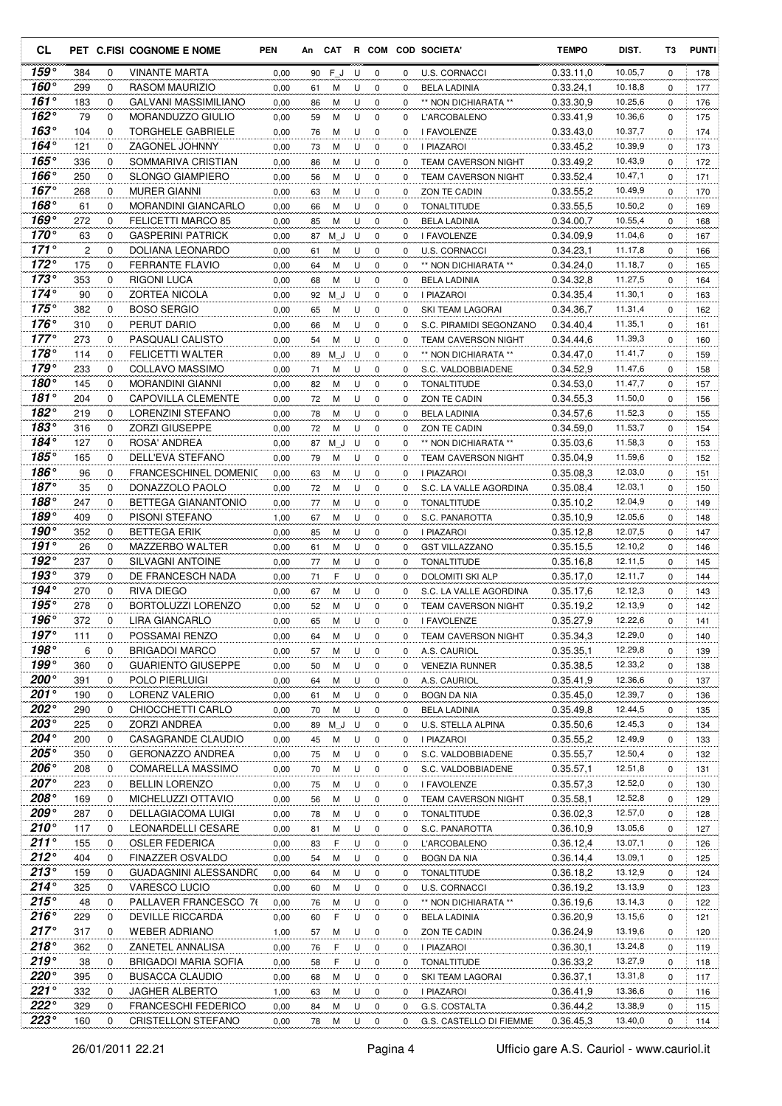| <b>CL</b>                  |            |                  | PET C.FISI COGNOME E NOME                             | <b>PEN</b>   | An       | CAT      |        |                            |              | R COM COD SOCIETA'                               | <b>TEMPO</b>           | DIST.              | T3          | <b>PUNTI</b> |
|----------------------------|------------|------------------|-------------------------------------------------------|--------------|----------|----------|--------|----------------------------|--------------|--------------------------------------------------|------------------------|--------------------|-------------|--------------|
| 159°                       | 384        | 0                | <b>VINANTE MARTA</b>                                  | 0,00         | 90       | FJ       | U      | 0                          | 0            | <b>U.S. CORNACCI</b>                             | 0.33.11,0              | 10.05,7            | $\mathbf 0$ | 178          |
| 160°                       | 299        | 0                | RASOM MAURIZIO                                        | 0,00         | 61       | м        | U      | 0                          | 0            | <b>BELA LADINIA</b>                              | 0.33.24,1              | 10.18,8            | 0           | 177          |
| $161^\circ$                | 183        | 0                | GALVANI MASSIMILIANO                                  | 0,00         | 86       | М        | U      | $\mathbf 0$                | 0            | ** NON DICHIARATA **                             | 0.33.30,9              | 10.25,6            | 0           | 176          |
| $162^\circ$                | 79         | 0                | MORANDUZZO GIULIO                                     | 0,00         | 59       | М        | U      | 0                          | 0            | L'ARCOBALENO                                     | 0.33.41,9              | 10.36,6            | 0           | 175          |
| $163^\circ$                | 104        | 0                | <b>TORGHELE GABRIELE</b>                              | 0,00         | 76       | М        | U      | $\mathbf 0$                | 0            | I FAVOLENZE                                      | 0.33.43,0              | 10.37,7            | 0           | 174          |
| 164°                       | 121        | $\mathbf 0$      | ZAGONEL JOHNNY                                        | 0,00         | 73       | М        | U      | 0                          | 0            | I PIAZAROI                                       | 0.33.45,2              | 10.39,9            | 0           | 173          |
| $165^\circ$                | 336        | $\mathbf 0$      | SOMMARIVA CRISTIAN                                    | 0,00         | 86       | M        | U      | 0                          | 0            | <b>TEAM CAVERSON NIGHT</b>                       | 0.33.49,2              | 10.43,9            | 0           | 172          |
| 166 $^{\circ}$             | 250        | 0                | <b>SLONGO GIAMPIERO</b>                               | 0,00         | 56       | М        | U      | 0                          | 0            | <b>TEAM CAVERSON NIGHT</b>                       | 0.33.52,4              | 10.47,1            | 0           | 171          |
| $167^\circ$                | 268        | $\mathbf 0$      | <b>MURER GIANNI</b>                                   | 0,00         | 63       | M        | U      | $\mathbf 0$                | 0            | ZON TE CADIN                                     | 0.33.55,2              | 10.49,9            | $\mathbf 0$ | 170          |
| 168°<br>169°               | 61<br>272  | 0<br>$\Omega$    | MORANDINI GIANCARLO                                   | 0,00         | 66       | M        | U      | 0                          | 0            | <b>TONALTITUDE</b>                               | 0.33.55,5              | 10.50,2<br>10.55,4 | 0           | 169          |
| $170^\circ$                | 63         | 0                | <b>FELICETTI MARCO 85</b><br><b>GASPERINI PATRICK</b> | 0,00<br>0,00 | 85<br>87 | M<br>M J | U<br>U | 0<br>0                     | 0<br>0       | <b>BELA LADINIA</b><br>I FAVOLENZE               | 0.34.00,7<br>0.34.09,9 | 11.04,6            | 0<br>0      | 168<br>167   |
| $171^\circ$                | 2          | 0                | DOLIANA LEONARDO                                      | 0,00         | 61       | M        | U      | 0                          | 0            | U.S. CORNACCI                                    | 0.34.23,1              | 11.17,8            | 0           | 166          |
| $172^\circ$                | 175        | 0                | <b>FERRANTE FLAVIO</b>                                | 0,00         | 64       | М        | U      | $\mathbf 0$                | $\Omega$     | ** NON DICHIARATA **                             | 0.34.24,0              | 11.18,7            | 0           | 165          |
| $173^\circ$                | 353        | $\mathbf 0$      | <b>RIGONI LUCA</b>                                    | 0,00         | 68       | M        | U      | $\mathbf 0$                | 0            | <b>BELA LADINIA</b>                              | 0.34.32,8              | 11.27,5            | 0           | 164          |
| $174^\circ$                | 90         | $\mathbf 0$      | <b>ZORTEA NICOLA</b>                                  | 0,00         | 92       | M J      | U      | 0                          | 0            | I PIAZAROI                                       | 0.34.35,4              | 11.30,1            | 0           | 163          |
| 175 $^{\circ}$             | 382        | 0                | <b>BOSO SERGIO</b>                                    | 0,00         | 65       | M        | U      | $\mathbf 0$                | 0            | SKI TEAM LAGORAI                                 | 0.34.36.7              | 11.31,4            | $\mathbf 0$ | 162          |
| $176^\circ$                | 310        | 0                | PERUT DARIO                                           | 0,00         | 66       | M        | U      | 0                          | 0            | S.C. PIRAMIDI SEGONZANO                          | 0.34.40,4              | 11.35,1            | 0           | 161          |
| $177^\circ$                | 273        | 0                | PASQUALI CALISTO                                      | 0,00         | 54       | M        | U      | 0                          | 0            | <b>TEAM CAVERSON NIGHT</b>                       | 0.34.44,6              | 11.39,3            | 0           | 160          |
| $178^\circ$                | 114        | 0                | <b>FELICETTI WALTER</b>                               | 0,00         | 89       | M J      | U      | 0                          | 0            | ** NON DICHIARATA **                             | 0.34.47.0              | 11.41,7            | 0           | 159          |
| $179^\circ$                | 233        | 0                | COLLAVO MASSIMO                                       | 0,00         | 71       | М        | U      | 0                          | 0            | S.C. VALDOBBIADENE                               | 0.34.52,9              | 11.47,6            | 0           | 158          |
| $180^\circ$                | 145        | 0                | <b>MORANDINI GIANNI</b>                               | 0,00         | 82       | М        | U      | $\mathbf 0$                | 0            | <b>TONALTITUDE</b>                               | 0.34.53,0              | 11.47,7            | 0           | 157          |
| 181°                       | 204        | $\mathbf 0$      | <b>CAPOVILLA CLEMENTE</b>                             | 0,00         | 72       | М        | U      | $\mathbf 0$                | $\Omega$     | ZON TE CADIN                                     | 0.34.55,3              | 11.50,0            | 0           | 156          |
| $182^\circ$                | 219        | $\mathbf 0$      | LORENZINI STEFANO                                     | 0,00         | 78       | М        | U      | $\mathbf 0$                | 0            | <b>BELA LADINIA</b>                              | 0.34.57.6              | 11.52,3            | 0           | 155          |
| 183°                       | 316        | 0                | <b>ZORZI GIUSEPPE</b>                                 | 0,00         | 72       | М        | U      | 0                          | 0            | ZON TE CADIN                                     | 0.34.59,0              | 11.53,7            | 0           | 154          |
| 184°                       | 127        | 0                | ROSA' ANDREA                                          | 0,00         | 87       | M J      | U      | $\mathbf 0$                | $\Omega$     | ** NON DICHIARATA **                             | 0.35.03.6              | 11.58,3            | 0           | 153          |
| 185°                       | 165        | 0                | DELL'EVA STEFANO                                      | 0,00         | 79       | м        | U      | 0                          | 0            | <b>TEAM CAVERSON NIGHT</b>                       | 0.35.04,9              | 11.59,6            | 0           | 152          |
| $186^\circ$<br>$187^\circ$ | 96         | 0                | <b>FRANCESCHINEL DOMENIC</b>                          | 0,00         | 63       | М        | U      | $\mathbf 0$                | 0            | I PIAZAROI                                       | 0.35.08.3              | 12.03,0            | 0           | 151          |
| $188^\circ$                | 35         | 0                | DONAZZOLO PAOLO                                       | 0,00         | 72       | М        | U      | 0                          | 0            | S.C. LA VALLE AGORDINA                           | 0.35.08,4              | 12.03,1            | 0           | 150          |
| 189°                       | 247<br>409 | 0                | BETTEGA GIANANTONIO                                   | 0,00         | 77       | м        | U      | $\mathbf 0$                | 0            | <b>TONALTITUDE</b>                               | 0.35.10,2              | 12.04,9<br>12.05,6 | 0           | 149          |
| 190°                       | 352        | 0<br>$\mathbf 0$ | PISONI STEFANO<br><b>BETTEGA ERIK</b>                 | 1,00<br>0,00 | 67<br>85 | М<br>М   | U<br>U | $\mathbf 0$<br>$\mathbf 0$ | 0<br>0       | S.C. PANAROTTA<br><b>I PIAZAROI</b>              | 0.35.10,9<br>0.35.12,8 | 12.07,5            | 0<br>0      | 148<br>147   |
| $191^\circ$                | 26         | 0                | MAZZERBO WALTER                                       | 0,00         | 61       | М        | U      | 0                          | 0            | <b>GST VILLAZZANO</b>                            | 0.35.15,5              | 12.10,2            | 0           | 146          |
| 192°                       | 237        | 0                | <b>SILVAGNI ANTOINE</b>                               | 0,00         | 77       | M        | U      | 0                          | 0            | <b>TONALTITUDE</b>                               | 0.35.16.8              | 12.11,5            | 0           | 145          |
| 193°                       | 379        | 0                | DE FRANCESCH NADA                                     | 0,00         | 71       | F        | U      | 0                          | 0            | DOLOMITI SKI ALP                                 | 0.35.17,0              | 12.11,7            | 0           | 144          |
| 194°                       | 270        | 0                | RIVA DIEGO                                            | 0,00         | 67       | M        | U      | 0                          | 0            | S.C. LA VALLE AGORDINA                           | 0.35.17.6              | 12.12,3            | 0           | 143          |
| 195°                       | 278        | 0                | BORTOLUZZI LORENZO                                    | 0,00         | 52       | M        | U      | 0                          | 0            | TEAM CAVERSON NIGHT                              | 0.35.19,2              | 12.13,9            | 0           | 142          |
| 196°                       | 372        | $\Omega$         | LIRA GIANCARLO                                        | 0.00         | 65       | M        | U      | $\mathbf 0$                | 0            | I FAVOLENZE                                      | 0.35.27,9              | 12.22,6            | $\Omega$    | 141          |
| $197^\circ$                | 111        | 0                | POSSAMAI RENZO                                        | 0,00         | 64       | M        | U      | 0                          | 0            | TEAM CAVERSON NIGHT                              | 0.35.34,3              | 12.29,0            | 0           | 140          |
| $198^\circ$                | 6          | 0                | <b>BRIGADOI MARCO</b>                                 | 0,00         | 57       | M        | U      | 0                          | 0            | A.S. CAURIOL                                     | 0.35.35,1              | 12.29,8            | 0           | 139          |
| $199^\circ$                | 360        | 0                | <b>GUARIENTO GIUSEPPE</b>                             | 0,00         | 50       | M        | U      | 0                          | 0            | <b>VENEZIA RUNNER</b>                            | 0.35.38,5              | 12.33,2            | 0           | 138          |
| 200°                       | 391        | 0                | POLO PIERLUIGI                                        | 0,00         | 64       | M        | U      | 0                          | 0            | A.S. CAURIOL                                     | 0.35.41,9              | 12.36,6            | 0           | 137          |
| 201°                       | 190        | 0                | LORENZ VALERIO                                        | 0,00         | 61       | M        | U      | 0                          | 0            | <b>BOGN DA NIA</b>                               | 0.35.45,0              | 12.39,7            | 0           | 136          |
| 202°                       | 290        | 0                | CHIOCCHETTI CARLO                                     | 0,00         | 70       | M        | U      | 0                          | 0            | <b>BELA LADINIA</b>                              | 0.35.49,8              | 12.44,5            | 0           | 135          |
| 203°                       | 225        | 0                | ZORZI ANDREA                                          | 0,00         | 89       | ΜJ       | U      | 0                          | 0            | U.S. STELLA ALPINA                               | 0.35.50,6              | 12.45,3            | 0           | 134          |
| 204°                       | 200        | 0                | CASAGRANDE CLAUDIO                                    | 0,00         | 45       | M        | U      | 0                          | 0            | I PIAZAROI                                       | 0.35.55,2              | 12.49,9            | 0           | 133          |
| 205°                       | 350        | 0                | <b>GERONAZZO ANDREA</b>                               | 0,00         | 75       | M        | U      | 0                          | 0            | S.C. VALDOBBIADENE                               | 0.35.55,7              | 12.50,4            | 0           | 132          |
| 206°<br>207°               | 208        | 0                | COMARELLA MASSIMO                                     | 0,00         | 70       | M        | U      | 0                          | 0            | S.C. VALDOBBIADENE                               | 0.35.57,1              | 12.51,8            | 0           | 131          |
| $208^\circ$                | 223        | 0<br>0           | <b>BELLIN LORENZO</b><br>MICHELUZZI OTTAVIO           | 0,00         | 75       | M        | U      | 0                          | 0            | I FAVOLENZE                                      | 0.35.57,3              | 12.52,0<br>12.52,8 | 0           | 130          |
| $209^\circ$                | 169<br>287 | 0                | DELLAGIACOMA LUIGI                                    | 0,00<br>0,00 | 56<br>78 | M<br>M   | U<br>U | 0<br>0                     | 0<br>0       | <b>TEAM CAVERSON NIGHT</b><br><b>TONALTITUDE</b> | 0.35.58,1<br>0.36.02,3 | 12.57,0            | 0<br>0      | 129<br>128   |
| $210^{\circ}$              | 117        | 0                | LEONARDELLI CESARE                                    | 0,00         | 81       | M        | U      | 0                          | 0            | S.C. PANAROTTA                                   | 0.36.10,9              | 13.05,6            | 0           | 127          |
| $211^\circ$                | 155        | 0                | <b>OSLER FEDERICA</b>                                 | 0,00         | 83       | F        | U      | 0                          | $\mathbf{0}$ | L'ARCOBALENO                                     | 0.36.12,4              | 13.07,1            | 0           | 126          |
| $212^\circ$                | 404        | 0                | FINAZZER OSVALDO                                      | 0,00         | 54       | M        | U      | 0                          | 0            | BOGN DA NIA                                      | 0.36.14,4              | 13.09,1            | 0           | 125          |
| 213°                       | 159        | 0                | GUADAGNINI ALESSANDRC                                 | 0,00         | 64       | M        | U      | 0                          | 0            | TONALTITUDE                                      | 0.36.18,2              | 13.12,9            | 0           | 124          |
| $214^{\circ}$              | 325        | 0                | VARESCO LUCIO                                         | 0,00         | 60       | M        | U      | 0                          | 0            | U.S. CORNACCI                                    | 0.36.19,2              | 13.13,9            | 0           | 123          |
| $215^\circ$                | 48         | 0                | PALLAVER FRANCESCO 76                                 | 0,00         | 76       | M        | U      | 0                          | 0            | ** NON DICHIARATA **                             | 0.36.19,6              | 13.14,3            | 0           | 122          |
| $216^\circ$                | 229        | 0                | DEVILLE RICCARDA                                      | 0,00         | 60       | F        | U      | 0                          | 0            | <b>BELA LADINIA</b>                              | 0.36.20,9              | 13.15,6            | 0           | 121          |
| $217^\circ$                | 317        | 0                | WEBER ADRIANO                                         | 1,00         | 57       | M        | U      | 0                          | 0            | ZON TE CADIN                                     | 0.36.24,9              | 13.19,6            | 0           | 120          |
| $218^\circ$                | 362        | 0                | ZANETEL ANNALISA                                      | 0,00         | 76       | F        | U      | 0                          | 0            | I PIAZAROI                                       | 0.36.30,1              | 13.24,8            | 0           | 119          |
| 219°                       | 38         | 0                | <b>BRIGADOI MARIA SOFIA</b>                           | 0,00         | 58       | F        | U      | 0                          | 0            | <b>TONALTITUDE</b>                               | 0.36.33,2              | 13.27,9            | 0           | 118          |
| 220°                       | 395        | 0                | <b>BUSACCA CLAUDIO</b>                                | 0,00         | 68       | M        | U      | 0                          | 0            | SKI TEAM LAGORAI                                 | 0.36.37,1              | 13.31,8            | 0           | 117          |
| 221°                       | 332        | 0                | JAGHER ALBERTO                                        | 1,00         | 63       | M        | U      | 0                          | 0            | I PIAZAROI                                       | 0.36.41,9              | 13.36,6            | 0           | 116          |
| 222°                       | 329        | 0                | <b>FRANCESCHI FEDERICO</b>                            | 0,00         | 84       | M        | U      | 0                          | 0            | G.S. COSTALTA                                    | 0.36.44,2              | 13.38,9            | 0           | 115          |
| 223°                       | 160        | 0                | CRISTELLON STEFANO                                    | 0,00         |          | 78 M     | U      | $\mathbf 0$                | 0            | G.S. CASTELLO DI FIEMME                          | 0.36.45,3              | 13.40,0            | 0           | 114          |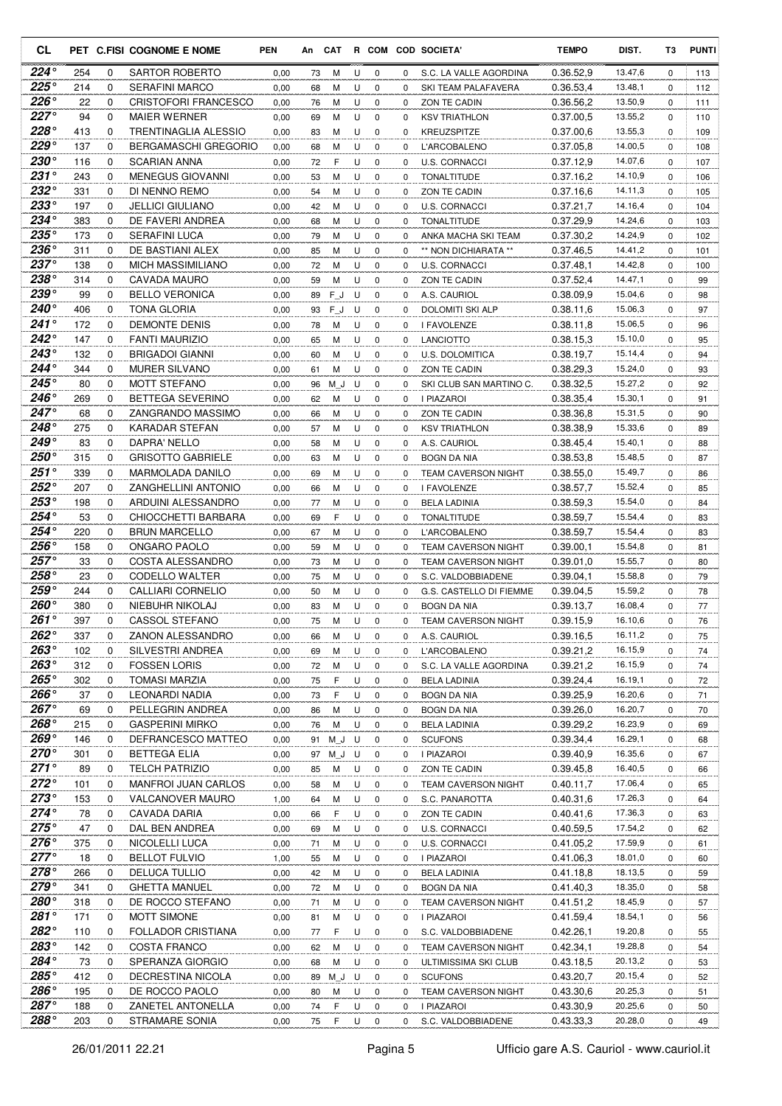| CL                         |            |          | PET C.FISI COGNOME E NOME                           | <b>PEN</b>   | An       | <b>CAT</b> |        |                  |               | R COM COD SOCIETA'                         | <b>TEMPO</b>           | DIST.              | T3            | <b>PUNTI</b> |
|----------------------------|------------|----------|-----------------------------------------------------|--------------|----------|------------|--------|------------------|---------------|--------------------------------------------|------------------------|--------------------|---------------|--------------|
| $224^{\circ}$              | 254        | 0        | SARTOR ROBERTO                                      | 0,00         | 73       | M          | U      | 0                | 0             | S.C. LA VALLE AGORDINA                     | 0.36.52,9              | 13.47,6            | $\mathbf 0$   | 113          |
| $225^{\circ}$              | 214        | 0        | <b>SERAFINI MARCO</b>                               | 0,00         | 68       | м          | U      | 0                | 0             | SKI TEAM PALAFAVERA                        | 0.36.53.4              | 13.48,1            | 0             | 112          |
| $226^\circ$                | 22         | 0        | <b>CRISTOFORI FRANCESCO</b>                         | 0,00         | 76       | м          | U      | $\mathbf 0$      | 0             | ZON TE CADIN                               | 0.36.56,2              | 13.50,9            | 0             | 111          |
| $227^\circ$                | 94         | 0        | <b>MAIER WERNER</b>                                 | 0,00         | 69       | M          | U      | 0                | 0             | <b>KSV TRIATHLON</b>                       | 0.37.00,5              | 13.55,2            | 0             | 110          |
| $228^\circ$                | 413        | 0        | <b>TRENTINAGLIA ALESSIO</b>                         | 0,00         | 83       | M          | U      | $\mathbf 0$      | 0             | KREUZSPITZE                                | 0.37.00.6              | 13.55,3            | 0             | 109          |
| $229^\circ$                | 137        | 0        | <b>BERGAMASCHI GREGORIO</b>                         | 0,00         | 68       | м          | U      | 0                | 0             | L'ARCOBALENO                               | 0.37.05.8              | 14.00,5            | 0             | 108          |
| $230^\circ$                | 116        | 0        | <b>SCARIAN ANNA</b>                                 | 0,00         | 72       | F          | U      | $\mathbf 0$      | 0             | U.S. CORNACCI                              | 0.37.12,9              | 14.07,6            | 0             | 107          |
| $231^\circ$<br>$232^\circ$ | 243        | 0        | <b>MENEGUS GIOVANNI</b>                             | 0,00         | 53       | М          | U      | 0                | 0             | <b>TONALTITUDE</b>                         | 0.37.16,2              | 14.10.9            | 0             | 106          |
| $233^\circ$                | 331        | 0<br>0   | DI NENNO REMO<br><b>JELLICI GIULIANO</b>            | 0,00         | 54       | M          | U      | $\mathbf 0$      | 0<br>$\Omega$ | ZON TE CADIN                               | 0.37.16,6              | 14.11,3<br>14.16,4 | 0             | 105          |
| 234°                       | 197<br>383 | 0        | DE FAVERI ANDREA                                    | 0,00<br>0,00 | 42<br>68 | M<br>м     | U<br>U | 0<br>$\mathbf 0$ | 0             | <b>U.S. CORNACCI</b><br><b>TONALTITUDE</b> | 0.37.21,7<br>0.37.29.9 | 14.24,6            | 0<br>$\Omega$ | 104<br>103   |
| 235°                       | 173        | 0        | <b>SERAFINI LUCA</b>                                | 0,00         | 79       | м          | U      | 0                | 0             | ANKA MACHA SKI TEAM                        | 0.37.30,2              | 14.24,9            | 0             | 102          |
| $236^\circ$                | 311        | 0        | DE BASTIANI ALEX                                    | 0,00         | 85       | м          | U      | 0                | $\Omega$      | ** NON DICHIARATA **                       | 0.37.46,5              | 14.41,2            | 0             | 101          |
| 237°                       | 138        | 0        | <b>MICH MASSIMILIANO</b>                            | 0,00         | 72       | М          | U      | 0                | 0             | <b>U.S. CORNACCI</b>                       | 0.37.48,1              | 14.42,8            | 0             | 100          |
| $238^\circ$                | 314        | 0        | CAVADA MAURO                                        | 0,00         | 59       | м          | U      | $\mathbf 0$      | 0             | ZON TE CADIN                               | 0.37.52,4              | 14.47,1            | 0             | 99           |
| 239°                       | 99         | 0        | <b>BELLO VERONICA</b>                               | 0,00         | 89       | FJ         | U      | 0                | 0             | A.S. CAURIOL                               | 0.38.09.9              | 15.04,6            | 0             | 98           |
| $240^\circ$                | 406        | 0        | <b>TONA GLORIA</b>                                  | 0,00         | 93       | F J        | U      | $\mathbf 0$      | 0             | <b>DOLOMITI SKI ALP</b>                    | 0.38.11.6              | 15.06,3            | 0             | 97           |
| 241°                       | 172        | 0        | <b>DEMONTE DENIS</b>                                | 0,00         | 78       | M          | U      | 0                | 0             | I FAVOLENZE                                | 0.38.11,8              | 15.06,5            | 0             | 96           |
| 242°                       | 147        | $\Omega$ | <b>FANTI MAURIZIO</b>                               | 0,00         | 65       | М          | U      | 0                | $\Omega$      | <b>LANCIOTTO</b>                           | 0.38.15.3              | 15.10,0            | 0             | 95           |
| $243^\circ$                | 132        | $\Omega$ | <b>BRIGADOI GIANNI</b>                              | 0,00         | 60       | M          | U      | $\mathbf 0$      | 0             | <b>U.S. DOLOMITICA</b>                     | 0.38.19.7              | 15.14,4            | 0             | 94           |
| $244^\circ$                | 344        | 0        | <b>MURER SILVANO</b>                                | 0,00         | 61       | M          | U      | 0                | 0             | ZON TE CADIN                               | 0.38.29,3              | 15.24,0            | 0             | 93           |
| $245^\circ$                | 80         | 0        | <b>MOTT STEFANO</b>                                 | 0,00         | 96       | M J        | U      | 0                | 0             | SKI CLUB SAN MARTINO C.                    | 0.38.32.5              | 15.27,2            | 0             | 92           |
| 246°                       | 269        | 0        | <b>BETTEGA SEVERINO</b>                             | 0,00         | 62       | М          | U      | 0                | 0             | I PIAZAROI                                 | 0.38.35.4              | 15.30,1            | 0             | 91           |
| $247^\circ$                | 68         | 0        | ZANGRANDO MASSIMO                                   | 0,00         | 66       | M          | U      | $\mathbf 0$      | 0             | ZON TE CADIN                               | 0.38.36.8              | 15.31,5            | 0             | 90           |
| 248°                       | 275        | 0        | KARADAR STEFAN                                      | 0,00         | 57       | М          | U      | 0                | 0             | <b>KSV TRIATHLON</b>                       | 0.38.38,9              | 15.33,6            | 0             | 89           |
| $249^\circ$                | 83         | 0        | DAPRA' NELLO                                        | 0,00         | 58       | м          | U      | $\mathbf 0$      | $\Omega$      | A.S. CAURIOL                               | 0.38.45,4              | 15.40,1            | 0             | 88           |
| 250°<br>$251^\circ$        | 315        | 0        | <b>GRISOTTO GABRIELE</b>                            | 0,00         | 63       | м          | U      | 0                | 0             | <b>BOGN DA NIA</b>                         | 0.38.53.8              | 15.48,5            | 0             | 87           |
| $252^\circ$                | 339        | 0<br>0   | <b>MARMOLADA DANILO</b>                             | 0,00         | 69       | м          | U      | $\mathbf 0$      | $\Omega$      | <b>TEAM CAVERSON NIGHT</b>                 | 0.38.55,0              | 15.49,7<br>15.52,4 | 0             | 86           |
| $253^\circ$                | 207<br>198 | 0        | <b>ZANGHELLINI ANTONIO</b><br>ARDUINI ALESSANDRO    | 0,00<br>0,00 | 66<br>77 | м<br>M     | U<br>U | 0<br>$\mathbf 0$ | 0<br>0        | I FAVOLENZE                                | 0.38.57,7<br>0.38.59.3 | 15.54,0            | 0<br>0        | 85<br>84     |
| 254°                       | 53         | 0        | CHIOCCHETTI BARBARA                                 | 0,00         | 69       | F          | U      | $\mathbf 0$      | $\Omega$      | <b>BELA LADINIA</b><br>TONALTITUDE         | 0.38.59,7              | 15.54,4            | 0             | 83           |
| $254^\circ$                | 220        | 0        | <b>BRUN MARCELLO</b>                                | 0,00         | 67       | M          | U      | $\mathbf 0$      | 0             | <b>L'ARCOBALENO</b>                        | 0.38.59.7              | 15.54,4            | 0             | 83           |
| $256^\circ$                | 158        | 0        | ONGARO PAOLO                                        | 0,00         | 59       | М          | U      | 0                | 0             | <b>TEAM CAVERSON NIGHT</b>                 | 0.39.00,1              | 15.54,8            | 0             | 81           |
| $257^\circ$                | 33         | 0        | COSTA ALESSANDRO                                    | 0,00         | 73       | М          | U      | $\mathbf 0$      | 0             | <b>TEAM CAVERSON NIGHT</b>                 | 0.39.01.0              | 15.55,7            | 0             | 80           |
| 258°                       | 23         | 0        | CODELLO WALTER                                      | 0,00         | 75       | M          | U      | 0                | 0             | S.C. VALDOBBIADENE                         | 0.39.04,1              | 15.58,8            | 0             | 79           |
| $259^\circ$                | 244        | 0        | CALLIARI CORNELIO                                   | 0,00         | 50       | M          | U      | 0                | 0             | G.S. CASTELLO DI FIEMME                    | 0.39.04.5              | 15.59,2            | 0             | 78           |
| $260^\circ$                | 380        | 0        | NIEBUHR NIKOLAJ                                     | 0,00         | 83       | M          | U      | 0                | 0             | <b>BOGN DA NIA</b>                         | 0.39.13,7              | 16.08,4            | 0             | 77           |
| $261^\circ$                | 397        | $\Omega$ | CASSOL STEFANO                                      | 0,00         | 75       | M          | U      | $\mathbf 0$      | 0             | <b>TEAM CAVERSON NIGHT</b>                 | 0.39.15.9              | 16.10,6            | $\Omega$      | 76           |
| 262°                       | 337        | 0        | ZANON ALESSANDRO                                    | 0,00         | 66       | М          | U      | 0                | 0             | A.S. CAURIOL                               | 0.39.16,5              | 16.11,2            | 0             | 75           |
| $263^\circ$                | 102        | 0        | SILVESTRI ANDREA                                    | 0,00         | 69       | M          | U      | 0                | 0             | L'ARCOBALENO                               | 0.39.21,2              | 16.15,9            | 0             | 74           |
| $263^\circ$                | 312        | 0        | <b>FOSSEN LORIS</b>                                 | 0,00         | 72       | M          | U      | $\mathbf 0$      | 0             | S.C. LA VALLE AGORDINA                     | 0.39.21,2              | 16.15,9            | 0             | 74           |
| $265^\circ$                | 302        | 0        | <b>TOMASI MARZIA</b>                                | 0,00         | 75       | F          | U      | 0                | 0             | <b>BELA LADINIA</b>                        | 0.39.24,4              | 16.19,1            | 0             | 72           |
| 266°                       | 37         | 0        | LEONARDI NADIA                                      | 0,00         | 73       | F          | U      | $\mathbf 0$      | 0             | <b>BOGN DA NIA</b>                         | 0.39.25,9              | 16.20,6            | 0             | 71           |
| $267^\circ$                | 69         | 0        | PELLEGRIN ANDREA                                    | 0,00         | 86       | M          | U      | 0                | 0             | <b>BOGN DA NIA</b>                         | 0.39.26,0              | 16.20,7            | 0             | 70           |
| 268°                       | 215        | 0        | <b>GASPERINI MIRKO</b>                              | 0,00         | 76       | M          | U      | 0                | 0             | <b>BELA LADINIA</b>                        | 0.39.29.2              | 16.23,9            | 0             | 69           |
| 269°                       | 146        | 0        | DEFRANCESCO MATTEO                                  | 0,00         | 91       | ΜJ         | U      | 0                | 0             | <b>SCUFONS</b>                             | 0.39.34,4              | 16.29,1            | 0             | 68           |
| $270^\circ$                | 301        | 0        | BETTEGA ELIA                                        | 0,00         | 97       | $M_J$      | U      | 0                | 0             | <b>I PIAZAROI</b>                          | 0.39.40,9              | 16.35,6            | 0             | 67           |
| $271^\circ$<br>$272^\circ$ | 89         | 0        | <b>TELCH PATRIZIO</b><br><b>MANFROI JUAN CARLOS</b> | 0,00         | 85       | M          | U      | 0                | 0             | ZON TE CADIN                               | 0.39.45,8<br>0.40.11.7 | 16.40,5<br>17.06,4 | 0             | 66           |
| $273^\circ$                | 101<br>153 | 0<br>0   | <b>VALCANOVER MAURO</b>                             | 0,00<br>1,00 | 58<br>64 | M<br>M     | U<br>U | $\mathbf 0$<br>0 | 0<br>0        | TEAM CAVERSON NIGHT<br>S.C. PANAROTTA      | 0.40.31,6              | 17.26,3            | 0<br>0        | 65<br>64     |
| $274^\circ$                | 78         | 0        | CAVADA DARIA                                        | 0,00         | 66       | F          | U      | 0                | 0             | ZON TE CADIN                               | 0.40.41,6              | 17.36,3            | 0             | 63           |
| $275^{\circ}$              | 47         | 0        | DAL BEN ANDREA                                      | 0,00         | 69       | M          | U      | 0                | 0             | U.S. CORNACCI                              | 0.40.59,5              | 17.54,2            | 0             | 62           |
| $276^\circ$                | 375        | 0        | NICOLELLI LUCA                                      | 0,00         | 71       | м          | U      | 0                | 0             | <b>U.S. CORNACCI</b>                       | 0.41.05,2              | 17.59,9            | 0             | 61           |
| 277°                       | 18         | 0        | <b>BELLOT FULVIO</b>                                | 1,00         | 55       | М          | U      | 0                | 0             | I PIAZAROI                                 | 0.41.06,3              | 18.01,0            | 0             | 60           |
| $278^\circ$                | 266        | 0        | <b>DELUCA TULLIO</b>                                | 0,00         | 42       | M          | U      | 0                | 0             | <b>BELA LADINIA</b>                        | 0.41.18,8              | 18.13,5            | 0             | 59           |
| 279°                       | 341        | 0        | <b>GHETTA MANUEL</b>                                | 0,00         | 72       | M          | U      | 0                | 0             | <b>BOGN DA NIA</b>                         | 0.41.40,3              | 18.35,0            | 0             | 58           |
| $280^\circ$                | 318        | 0        | DE ROCCO STEFANO                                    | 0,00         | 71       | м          | U      | $\mathbf 0$      | 0             | <b>TEAM CAVERSON NIGHT</b>                 | 0.41.51,2              | 18.45,9            | 0             | 57           |
| $281^\circ$                | 171        | 0        | <b>MOTT SIMONE</b>                                  | 0,00         | 81       | M          | U      | 0                | 0             | I PIAZAROI                                 | 0.41.59,4              | 18.54,1            | 0             | 56           |
| 282°                       | 110        | 0        | FOLLADOR CRISTIANA                                  | 0,00         | 77       | F          | U      | 0                | 0             | S.C. VALDOBBIADENE                         | 0.42.26,1              | 19.20,8            | 0             | 55           |
| 283°                       | 142        | 0        | <b>COSTA FRANCO</b>                                 | 0,00         | 62       | M          | U      | 0                | 0             | TEAM CAVERSON NIGHT                        | 0.42.34,1              | 19.28,8            | 0             | 54           |
| $284^\circ$                | 73         | 0        | SPERANZA GIORGIO                                    | 0,00         | 68       | M          | U      | 0                | 0             | ULTIMISSIMA SKI CLUB                       | 0.43.18,5              | 20.13,2            | 0             | 53           |
| 285°                       | 412        | 0        | DECRESTINA NICOLA                                   | 0,00         | 89       | ΜJ         | U      | 0                | 0             | <b>SCUFONS</b>                             | 0.43.20,7              | 20.15,4            | 0             | 52           |
| 286°                       | 195        | 0        | DE ROCCO PAOLO                                      | 0,00         | 80       | M          | U      | 0                | 0             | TEAM CAVERSON NIGHT                        | 0.43.30,6              | 20.25,3            | 0             | 51           |
| 287°                       | 188        | 0        | ZANETEL ANTONELLA                                   | 0,00         | 74       | F          | U      | 0                | 0             | I PIAZAROI                                 | 0.43.30,9              | 20.25,6            | 0             | 50           |
| 288°                       | 203        | 0        | STRAMARE SONIA                                      | 0,00         | 75       | F          | U      | $\mathbf 0$      | 0             | S.C. VALDOBBIADENE                         | 0.43.33,3              | 20.28,0            | 0             | 49           |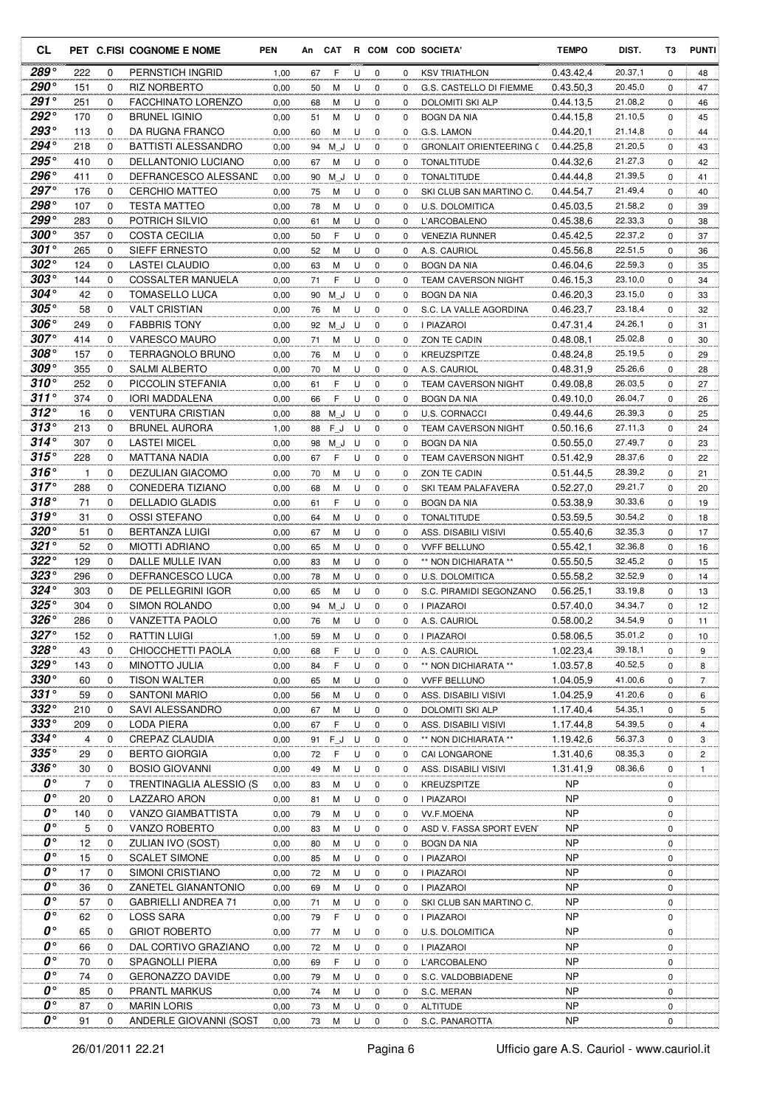| <b>CL</b>                |              |          | PET C.FISI COGNOME E NOME                 | <b>PEN</b>   | An       | CAT    |        |                  |              | R COM COD SOCIETA'                          | <b>TEMPO</b>           | DIST.              | T3            | <b>PUNTI</b> |
|--------------------------|--------------|----------|-------------------------------------------|--------------|----------|--------|--------|------------------|--------------|---------------------------------------------|------------------------|--------------------|---------------|--------------|
| 289°                     | 222          | 0        | PERNSTICH INGRID                          | 1,00         | 67       | F      | U      | $\mathbf 0$      | 0            | <b>KSV TRIATHLON</b>                        | 0.43.42,4              | 20.37,1            | 0             | 48           |
| 290°                     | 151          | 0        | <b>RIZ NORBERTO</b>                       | 0,00         | 50       | м      | U      | 0                | $\Omega$     | G.S. CASTELLO DI FIEMME                     | 0.43.50.3              | 20.45,0            | $\Omega$      | 47           |
| $291^\circ$              | 251          | $\Omega$ | FACCHINATO LORENZO                        | 0,00         | 68       | M      | U      | $\mathbf 0$      | 0            | <b>DOLOMITI SKI ALP</b>                     | 0.44.13.5              | 21.08,2            | 0             | 46           |
| $292^\circ$              | 170          | 0        | <b>BRUNEL IGINIO</b>                      | 0,00         | 51       | M      | U      | 0                | 0            | <b>BOGN DA NIA</b>                          | 0.44.15.8              | 21.10,5            | 0             | 45           |
| 293°                     | 113          | 0        | DA RUGNA FRANCO                           | 0,00         | 60       | M      | U      | $\mathbf 0$      | 0            | G.S. LAMON                                  | 0.44.20,1              | 21.14,8            | 0             | 44           |
| $294^\circ$              | 218          | 0        | BATTISTI ALESSANDRO                       | 0,00         | 94       | M J    | U      | 0                | 0            | <b>GRONLAIT ORIENTEERING C</b>              | 0.44.25.8              | 21.20,5            | 0             | 43           |
| 295°                     | 410          | 0        | DELLANTONIO LUCIANO                       | 0,00         | 67       | M      | U      | $\mathbf 0$      | 0            | <b>TONALTITUDE</b>                          | 0.44.32.6              | 21.27,3            | 0             | 42           |
| 296°<br>$297^\circ$      | 411          | 0        | DEFRANCESCO ALESSAND                      | 0,00         | 90       | ΜJ     | U      | 0                | 0            | <b>TONALTITUDE</b>                          | 0.44.44.8              | 21.39,5            | 0             | 41           |
| 298°                     | 176<br>107   | 0<br>0   | <b>CERCHIO MATTEO</b>                     | 0,00         | 75       | М      | U      | 0                | $\Omega$     | SKI CLUB SAN MARTINO C.                     | 0.44.54,7              | 21.49,4<br>21.58,2 | 0             | 40           |
| 299°                     | 283          | 0        | <b>TESTA MATTEO</b><br>POTRICH SILVIO     | 0,00<br>0,00 | 78       | М<br>М | U<br>U | 0<br>0           | 0<br>0       | U.S. DOLOMITICA                             | 0.45.03.5<br>0.45.38,6 | 22.33,3            | 0<br>$\Omega$ | 39<br>38     |
| $300^{\circ}$            | 357          | 0        | COSTA CECILIA                             | 0,00         | 61<br>50 | F      | U      | $\mathbf 0$      | 0            | L'ARCOBALENO<br><b>VENEZIA RUNNER</b>       | 0.45.42,5              | 22.37,2            | 0             | 37           |
| $301^\circ$              | 265          | 0        | SIEFF ERNESTO                             | 0,00         | 52       | M      | U      | 0                | 0            | A.S. CAURIOL                                | 0.45.56,8              | 22.51,5            | 0             | 36           |
| $302^{\circ}$            | 124          | 0        | <b>LASTEI CLAUDIO</b>                     | 0,00         | 63       | М      | U      | $\mathbf 0$      | 0            | <b>BOGN DA NIA</b>                          | 0.46.04.6              | 22.59,3            | 0             | 35           |
| $303^{\circ}$            | 144          | 0        | COSSALTER MANUELA                         | 0,00         | 71       | F      | U      | $\mathbf 0$      | 0            | <b>TEAM CAVERSON NIGHT</b>                  | 0.46.15,3              | 23.10,0            | 0             | 34           |
| $304^\circ$              | 42           | 0        | <b>TOMASELLO LUCA</b>                     | 0,00         | 90       | M J    | U      | $\mathbf 0$      | 0            | <b>BOGN DA NIA</b>                          | 0.46.20.3              | 23.15,0            | 0             | 33           |
| $305^{\circ}$            | 58           | 0        | <b>VALT CRISTIAN</b>                      | 0,00         | 76       | M      | U      | 0                | 0            | S.C. LA VALLE AGORDINA                      | 0.46.23.7              | 23.18,4            | 0             | 32           |
| 306°                     | 249          | 0        | <b>FABBRIS TONY</b>                       | 0,00         | 92       | M J    | U      | $\mathbf 0$      | 0            | <b>I PIAZAROI</b>                           | 0.47.31.4              | 24.26,1            | 0             | 31           |
| $307^\circ$              | 414          | 0        | <b>VARESCO MAURO</b>                      | 0,00         | 71       | M      | U      | 0                | 0            | ZON TE CADIN                                | 0.48.08.1              | 25.02,8            | 0             | 30           |
| $308^{\circ}$            | 157          | 0        | <b>TERRAGNOLO BRUNO</b>                   | 0,00         | 76       | м      | U      | $\mathbf 0$      | 0            | KREUZSPITZE                                 | 0.48.24.8              | 25.19,5            | 0             | 29           |
| 309°                     | 355          | 0        | <b>SALMI ALBERTO</b>                      | 0,00         | 70       | м      | U      | 0                | 0            | A.S. CAURIOL                                | 0.48.31,9              | 25.26,6            | 0             | 28           |
| $310^\circ$              | 252          | 0        | PICCOLIN STEFANIA                         | 0,00         | 61       | F      | U      | 0                | 0            | <b>TEAM CAVERSON NIGHT</b>                  | 0.49.08.8              | 26.03,5            | 0             | 27           |
| $311^\circ$              | 374          | 0        | <b>IORI MADDALENA</b>                     | 0,00         | 66       | F      | U      | 0                | 0            | <b>BOGN DA NIA</b>                          | 0.49.10.0              | 26.04,7            | 0             | 26           |
| $312^{\circ}$            | 16           | 0        | <b>VENTURA CRISTIAN</b>                   | 0,00         | 88       | ΜJ     | U      | 0                | $\Omega$     | U.S. CORNACCI                               | 0.49.44,6              | 26.39,3            | 0             | 25           |
| 313°                     | 213          | 0        | <b>BRUNEL AURORA</b>                      | 1,00         | 88       | $F_J$  | U      | 0                | 0            | <b>TEAM CAVERSON NIGHT</b>                  | 0.50.16,6              | 27.11,3            | 0             | 24           |
| $314^\circ$              | 307          | 0        | <b>LASTEI MICEL</b>                       | 0,00         | 98       | M J    | U      | 0                | 0            | <b>BOGN DA NIA</b>                          | 0.50.55.0              | 27.49,7            | 0             | 23           |
| $315^{\circ}$            | 228          | 0        | MATTANA NADIA                             | 0,00         | 67       | F      | U      | 0                | $\Omega$     | TEAM CAVERSON NIGHT                         | 0.51.42,9              | 28.37,6            | 0             | 22           |
| $316^\circ$              | $\mathbf{1}$ | $\Omega$ | DEZULIAN GIACOMO                          | 0,00         | 70       | M      | U      | 0                | 0            | ZON TE CADIN                                | 0.51.44.5              | 28.39,2            | 0             | 21           |
| $317^\circ$              | 288          | 0        | CONEDERA TIZIANO                          | 0,00         | 68       | М      | U      | 0                | 0            | SKI TEAM PALAFAVERA                         | 0.52.27,0              | 29.21,7            | 0             | 20           |
| $318^\circ$<br>319°      | 71           | 0        | <b>DELLADIO GLADIS</b>                    | 0,00         | 61       | F      | U      | 0                | 0            | <b>BOGN DA NIA</b>                          | 0.53.38,9              | 30.33,6            | 0             | 19           |
| $320^\circ$              | 31           | 0        | <b>OSSI STEFANO</b>                       | 0,00         | 64       | M      | U      | $\mathbf 0$      | 0            | <b>TONALTITUDE</b>                          | 0.53.59,5              | 30.54,2            | 0             | 18           |
| $321^\circ$              | 51<br>52     | 0<br>0   | <b>BERTANZA LUIGI</b>                     | 0,00         | 67       | м      | U<br>U | 0<br>$\mathbf 0$ | $\Omega$     | ASS. DISABILI VISIVI                        | 0.55.40,6              | 32.35,3<br>32.36,8 | 0             | 17           |
| $322^{\circ}$            | 129          | 0        | <b>MIOTTI ADRIANO</b><br>DALLE MULLE IVAN | 0,00<br>0,00 | 65<br>83 | M<br>М | U      | 0                | 0<br>0       | <b>VVFF BELLUNO</b><br>** NON DICHIARATA ** | 0.55.42,1<br>0.55.50,5 | 32.45,2            | 0<br>0        | 16<br>15     |
| $323^\circ$              | 296          | 0        | DEFRANCESCO LUCA                          | 0,00         | 78       | M      | U      | $\mathbf 0$      | 0            | <b>U.S. DOLOMITICA</b>                      | 0.55.58,2              | 32.52,9            | 0             | 14           |
| $324^{\circ}$            | 303          | 0        | DE PELLEGRINI IGOR                        | 0,00         | 65       | м      | U      | 0                | $\Omega$     | S.C. PIRAMIDI SEGONZANO                     | 0.56.25.1              | 33.19,8            | 0             | 13           |
| $325^{\circ}$            | 304          | 0        | <b>SIMON ROLANDO</b>                      | 0,00         | 94       | M J    | U      | $\mathbf 0$      | 0            | <b>I PIAZAROI</b>                           | 0.57.40.0              | 34.34,7            | 0             | 12           |
| $326^\circ$              | 286          | $\Omega$ | VANZETTA PAOLO                            | 0,00         | 76       | M      | U      | $\Omega$         | 0            | A.S. CAURIOL                                | 0.58.00,2              | 34.54,9            | $\Omega$      | 11           |
| $327^\circ$              | 152          | 0        | <b>RATTIN LUIGI</b>                       | 1,00         | 59       | M      | U      | 0                | 0            | I PIAZAROI                                  | 0.58.06,5              | 35.01,2            | 0             | 10           |
| 328°                     | 43           | 0        | CHIOCCHETTI PAOLA                         | 0,00         | 68       | F      | U      | 0                | 0            | A.S. CAURIOL                                | 1.02.23,4              | 39.18,1            | 0             | 9            |
| 329°                     | 143          | 0        | MINOTTO JULIA                             | 0,00         | 84       | F      | U      | $\mathbf 0$      | 0            | ** NON DICHIARATA **                        | 1.03.57,8              | 40.52,5            | 0             | 8            |
| $330^\circ$              | 60           | 0        | <b>TISON WALTER</b>                       | 0,00         | 65       | M      | U      | 0                | 0            | <b>VVFF BELLUNO</b>                         | 1.04.05,9              | 41.00,6            | 0             | 7            |
| $331^\circ$              | 59           | 0        | <b>SANTONI MARIO</b>                      | 0,00         | 56       | M      | U      | 0                | $\mathbf{0}$ | ASS. DISABILI VISIVI                        | 1.04.25,9              | 41.20,6            | 0             | 6            |
| $332^\circ$              | 210          | 0        | SAVI ALESSANDRO                           | 0,00         | 67       | M      | U      | 0                | 0            | DOLOMITI SKI ALP                            | 1.17.40,4              | 54.35,1            | 0             | 5            |
| $333^\circ$              | 209          | 0        | LODA PIERA                                | 0,00         | 67       | F      | U      | 0                | 0            | ASS. DISABILI VISIVI                        | 1.17.44,8              | 54.39,5            | 0             | 4            |
| $334^\circ$              | 4            | 0        | CREPAZ CLAUDIA                            | 0,00         | 91       | $F_J$  | U      | 0                | 0            | ** NON DICHIARATA **                        | 1.19.42,6              | 56.37,3            | 0             | 3            |
| $335^\circ$              | 29           | 0        | <b>BERTO GIORGIA</b>                      | 0,00         | 72       | F      | U      | 0                | 0            | CAI LONGARONE                               | 1.31.40,6              | 08.35,3            | 0             | 2            |
| $336^\circ$              | 30           | 0        | <b>BOSIO GIOVANNI</b>                     | 0,00         | 49       | M      | U      | 0                | 0            | ASS. DISABILI VISIVI                        | 1.31.41,9              | 08.36,6            | 0             | $\mathbf{1}$ |
| 0°<br>$\boldsymbol{0}$ ° | 7            | 0        | TRENTINAGLIA ALESSIO (S                   | 0,00         | 83       | M      | U      | $\mathbf 0$      | 0            | KREUZSPITZE                                 | NP                     |                    | 0             |              |
| 0°                       | 20           | 0<br>0   | LAZZARO ARON                              | 0,00         | 81       | M      | U      | 0                | 0            | I PIAZAROI                                  | <b>NP</b>              |                    | 0             |              |
| 0°                       | 140<br>5     | 0        | VANZO GIAMBATTISTA<br>VANZO ROBERTO       | 0,00<br>0,00 | 79<br>83 | M<br>M | U<br>U | 0<br>0           | 0<br>0       | VV.F.MOENA<br>ASD V. FASSA SPORT EVEN       | NP<br>NP               |                    | 0<br>0        |              |
| 0°                       | 12           | 0        | ZULIAN IVO (SOST)                         | 0,00         | 80       | м      | U      | 0                | 0            | <b>BOGN DA NIA</b>                          | NP                     |                    | 0             |              |
| 0°                       | 15           | 0        | <b>SCALET SIMONE</b>                      | 0,00         | 85       | м      | U      | 0                | 0            | I PIAZAROI                                  | NP                     |                    | 0             |              |
| 0°                       | 17           | 0        | SIMONI CRISTIANO                          | 0,00         | 72       | M      | U      | 0                | 0            | I PIAZAROI                                  | NP                     |                    | 0             |              |
| 0°                       | 36           | 0        | ZANETEL GIANANTONIO                       | 0,00         | 69       | M      | U      | 0                | 0            | I PIAZAROI                                  | NP                     |                    | 0             |              |
| 0°                       | 57           | 0        | <b>GABRIELLI ANDREA 71</b>                | 0,00         | 71       | M      | U      | 0                | 0            | SKI CLUB SAN MARTINO C.                     | NP                     |                    | 0             |              |
| O۰                       | 62           | 0        | LOSS SARA                                 | 0,00         | 79       | F      | U      | $\mathbf 0$      | 0            | I PIAZAROI                                  | NP                     |                    | 0             |              |
| 0°                       | 65           | 0        | <b>GRIOT ROBERTO</b>                      | 0,00         | 77       | M      | U      | 0                | 0            | U.S. DOLOMITICA                             | <b>NP</b>              |                    | 0             |              |
| $\boldsymbol{0}$ °       | 66           | 0        | DAL CORTIVO GRAZIANO                      | 0,00         | 72       | M      | U      | 0                | 0            | I PIAZAROI                                  | NP                     |                    | 0             |              |
| 0°                       | 70           | 0        | SPAGNOLLI PIERA                           | 0,00         | 69       | F      | U      | 0                | 0            | L'ARCOBALENO                                | NP                     |                    | 0             |              |
| 0°                       | 74           | 0        | GERONAZZO DAVIDE                          | 0,00         | 79       | M      | U      | 0                | 0            | S.C. VALDOBBIADENE                          | NP                     |                    | 0             |              |
| 0°                       | 85           | 0        | PRANTL MARKUS                             | 0,00         | 74       | M      | U      | 0                | 0            | S.C. MERAN                                  | NP.                    |                    | 0             |              |
| 0°                       | 87           | 0        | <b>MARIN LORIS</b>                        | 0,00         | 73       | M      | U      | 0                | 0            | <b>ALTITUDE</b>                             | NP                     |                    | 0             |              |
| $\boldsymbol{0}$         | 91           | 0        | ANDERLE GIOVANNI (SOST                    | 0,00         | 73       | M      | U      | 0                | 0            | S.C. PANAROTTA                              | NP                     |                    | 0             |              |